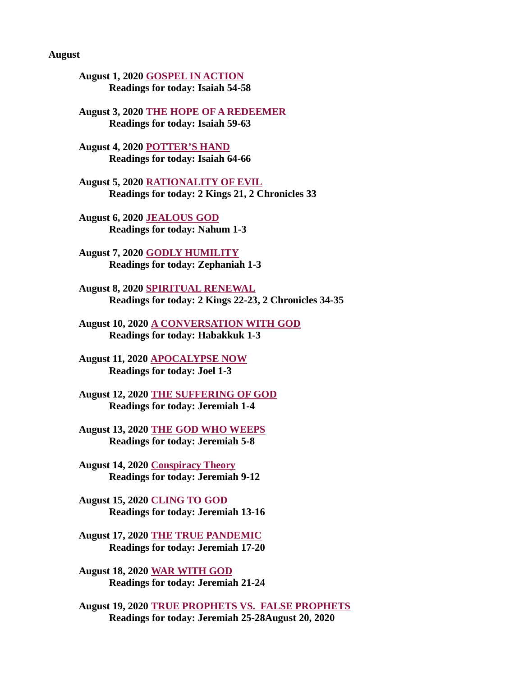August

[August 1, 2020 GOSPEL IN ACTION](#page-2-0) Readings for today: Isaiah 54-58

[August 3, 2020 THE HOPE OF A REDEEMER](#page-4-0) Readings for today: Isaiah 59-63

[August 4, 2020 POTTER'S HAND](#page-6-0) Readings for today: Isaiah 64-66

August 5, 2020 RATIONALITY OF EVIL [Readings for today: 2 Kings 21, 2 Chronicles 33](#page-7-0)

[August 6, 2020 JEALOUS GOD](#page-8-0) Readings for today: Nahum 1-3

[August 7, 2020 GODLY HUMILITY](#page-10-0) Readings for today: Zephaniah 1-3

August 8, 2020 SPIRITUAL RENEWAL [Readings for today: 2 Kings 22-23, 2 Chronicles 34-35](#page-12-0)

[August 10, 2020 A CONVERSATION WITH GOD](#page-13-0) Readings for today: Habakkuk 1-3

[August 11, 2020 APOCALYPSE NOW](#page-15-0) Readings for today: Joel 1-3

[August 12, 2020 THE SUFFERING OF GOD](#page-17-0) Readings for today: Jeremiah 1-4

[August 13, 2020 THE GOD WHO WEEPS](#page-18-0) Readings for today: Jeremiah 5-8

[August 14, 2020 Conspiracy Theory](#page-20-0) Readings for today: Jeremiah 9-12

August 15, 2020 CLING TO GOD [Readings for today: Jeremiah 13-16](#page-22-0)

[August 17, 2020 THE TRUE PANDEMIC](#page-23-0) Readings for today: Jeremiah 17-20

August 18, 2020 WAR WITH GOD [Readings for today: Jeremiah 21-24](#page-25-0)

[August 19, 2020 TRUE PROPHETS VS. FALSE PROPHETS](#page-27-0) Readings for today: Jeremiah 25-28August 20, 2020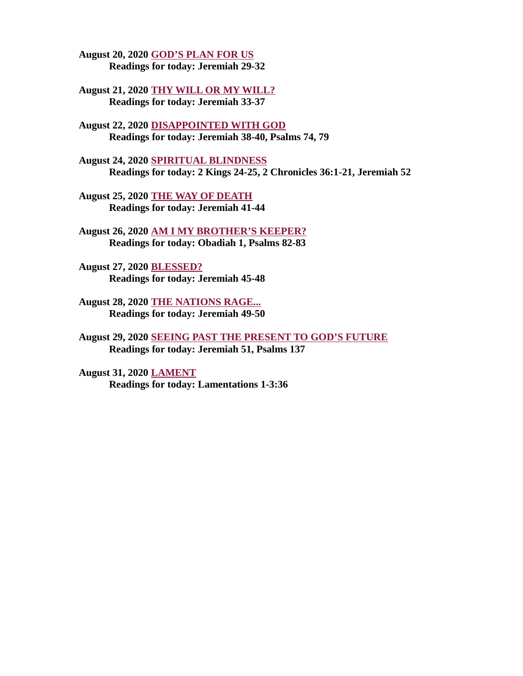[August 20, 2020 GOD'S PLAN FOR US](#page-27-0) Readings for today: Jeremiah 29-32

[August 21, 2020 THY WILL OR MY WILL?](#page-29-0) Readings for today: Jeremiah 33-37

August 22, 2020 DISAPPOINTED WITH GOD [Readings for today: Jeremiah 38-40, Psalms 74, 79](#page-33-0)

August 24, 2020 SPIRITUAL BLINDNESS [Readings for today: 2 Kings 24-25, 2 Chronicles 36:1-21, Jeremiah 52](#page-35-0)

[August 25, 2020 THE WAY OF DEATH](#page-36-0) Readings for today: Jeremiah 41-44

[August 26, 2020 AM I MY BROTHER'S KEEPER?](#page-37-0) Readings for today: Obadiah 1, Psalms 82-83

August 27, 2020 BLESSED? [Readings for today: Jeremiah 45-48](#page-38-0)

[August 28, 2020 THE NATIONS RAGE...](#page-39-0) Readings for today: Jeremiah 49-50

[August 29, 2020 SEEING PAST THE PRESENT TO GOD'S FUTURE](#page-41-0) Readings for today: Jeremiah 51, Psalms 137

August 31, 2020 LAMENT [Readings for today: Lamentations 1-3:36](#page-42-0)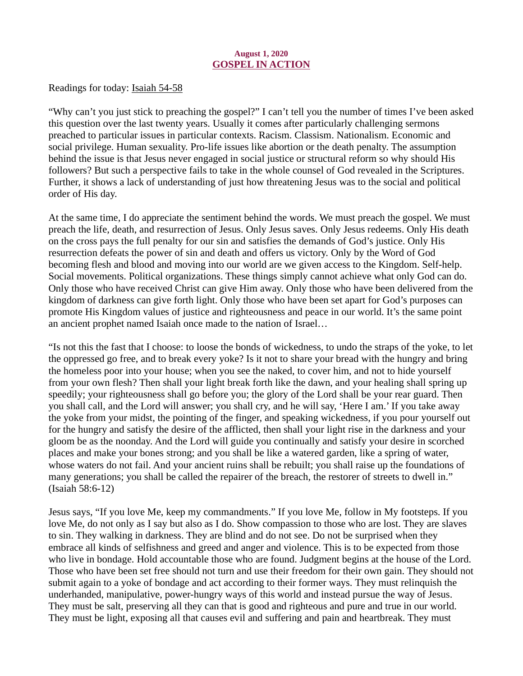## August 1, 2020 GOSPEL IN ACTION

<span id="page-2-0"></span>[Readings for today: Isaiah 54-58](https://www.biblegateway.com/passage/?search=Isaiah+54-58&version=ESV)

"Why can't you just stick to preaching the gospel?" I can't tell you the number of times I've been asked this question over the last twenty years. Usually it comes after particularly challenging sermons preached to particular issues in particular contexts. Racism. Classism. Nationalism. Economic and social privilege. Human sexuality. Pro-life issues like abortion or the death penalty. The assumption behind the issue is that Jesus never engaged in social justice or structural reform so why should His followers? But such a perspective fails to take in the whole counsel of God revealed in the Scriptures. Further, it shows a lack of understanding of just how threatening Jesus was to the social and political order of His day.

At the same time, I do appreciate the sentiment behind the words. We must preach the gospel. We must preach the life, death, and resurrection of Jesus. Only Jesus saves. Only Jesus redeems. Only His death on the cross pays the full penalty for our sin and satisfies the demands of God's justice. Only His resurrection defeats the power of sin and death and offers us victory. Only by the Word of God becoming flesh and blood and moving into our world are we given access to the Kingdom. Self-help. Social movements. Political organizations. These things simply cannot achieve what only God can do. Only those who have received Christ can give Him away. Only those who have been delivered from the kingdom of darkness can give forth light. Only those who have been set apart for God's purposes can promote His Kingdom values of justice and righteousness and peace in our world. It's the same point an ancient prophet named Isaiah once made to the nation of Israel…

"Is not this the fast that I choose: to loose the bonds of wickedness, to undo the straps of the yoke, to let the oppressed go free, and to break every yoke? Is it not to share your bread with the hungry and bring the homeless poor into your house; when you see the naked, to cover him, and not to hide yourself from your own flesh? Then shall your light break forth like the dawn, and your healing shall spring up speedily; your righteousness shall go before you; the glory of the Lord shall be your rear guard. Then you shall call, and the Lord will answer; you shall cry, and he will say, 'Here I am.' If you take away the yoke from your midst, the pointing of the finger, and speaking wickedness, if you pour yourself out for the hungry and satisfy the desire of the afflicted, then shall your light rise in the darkness and your gloom be as the noonday. And the Lord will guide you continually and satisfy your desire in scorched places and make your bones strong; and you shall be like a watered garden, like a spring of water, whose waters do not fail. And your ancient ruins shall be rebuilt; you shall raise up the foundations of many generations; you shall be called the repairer of the breach, the restorer of streets to dwell in." (Isaiah 58:6-12)

Jesus says, "If you love Me, keep my commandments." If you love Me, follow in My footsteps. If you love Me, do not only as I say but also as I do. Show compassion to those who are lost. They are slaves to sin. They walking in darkness. They are blind and do not see. Do not be surprised when they embrace all kinds of selfishness and greed and anger and violence. This is to be expected from those who live in bondage. Hold accountable those who are found. Judgment begins at the house of the Lord. Those who have been set free should not turn and use their freedom for their own gain. They should not submit again to a yoke of bondage and act according to their former ways. They must relinquish the underhanded, manipulative, power-hungry ways of this world and instead pursue the way of Jesus. They must be salt, preserving all they can that is good and righteous and pure and true in our world. They must be light, exposing all that causes evil and suffering and pain and heartbreak. They must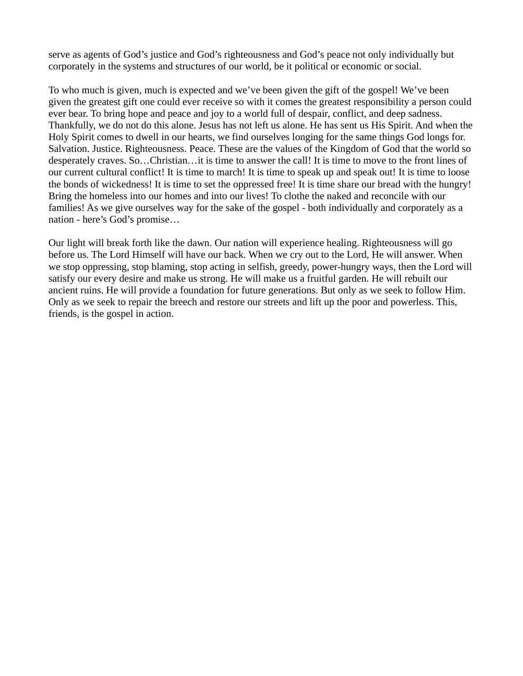serve as agents of God's justice and God's righteousness and God's peace not only individually but corporately in the systems and structures of our world, be it political or economic or social.

To who much is given, much is expected and we've been given the gift of the gospel! We've been given the greatest gift one could ever receive so with it comes the greatest responsibility a person could ever bear. To bring hope and peace and joy to a world full of despair, conflict, and deep sadness. Thankfully, we do not do this alone. Jesus has not left us alone. He has sent us His Spirit. And when the Holy Spirit comes to dwell in our hearts, we find ourselves longing for the same things God longs for. Salvation. Justice. Righteousness. Peace. These are the values of the Kingdom of God that the world so desperately craves. So…Christian…it is time to answer the call! It is time to move to the front lines of our current cultural conflict! It is time to march! It is time to speak up and speak out! It is time to loose the bonds of wickedness! It is time to set the oppressed free! It is time share our bread with the hungry! Bring the homeless into our homes and into our lives! To clothe the naked and reconcile with our families! As we give ourselves way for the sake of the gospel - both individually and corporately as a nation - here's God's promise…

Our light will break forth like the dawn. Our nation will experience healing. Righteousness will go before us. The Lord Himself will have our back. When we cry out to the Lord, He will answer. When we stop oppressing, stop blaming, stop acting in selfish, greedy, power-hungry ways, then the Lord will satisfy our every desire and make us strong. He will make us a fruitful garden. He will rebuilt our ancient ruins. He will provide a foundation for future generations. But only as we seek to follow Him. Only as we seek to repair the breech and restore our streets and lift up the poor and powerless. This, friends, is the gospel in action.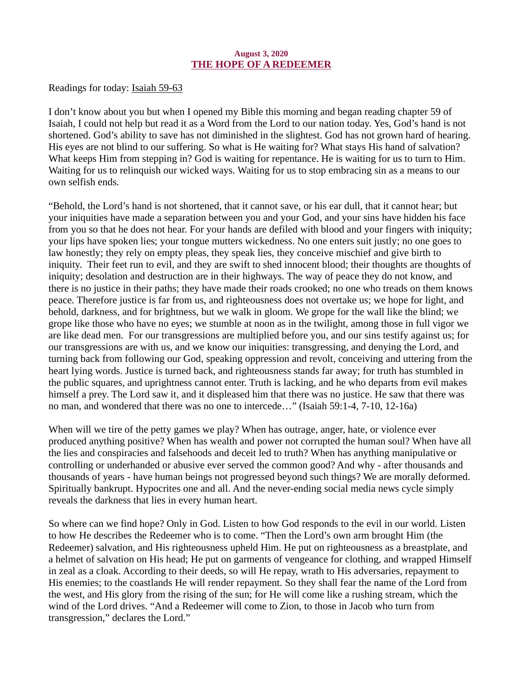#### August 3, 2020 THE HOPE OF A REDEEMER

<span id="page-4-0"></span>[Readings for today: Isaiah 59-63](https://www.biblegateway.com/passage/?search=Isaiah+59-63&version=ESV)

I don't know about you but when I opened my Bible this morning and began reading chapter 59 of Isaiah, I could not help but read it as a Word from the Lord to our nation today. Yes, God's hand is not shortened. God's ability to save has not diminished in the slightest. God has not grown hard of hearing. His eyes are not blind to our suffering. So what is He waiting for? What stays His hand of salvation? What keeps Him from stepping in? God is waiting for repentance. He is waiting for us to turn to Him. Waiting for us to relinquish our wicked ways. Waiting for us to stop embracing sin as a means to our own selfish ends.

"Behold, the Lord's hand is not shortened, that it cannot save, or his ear dull, that it cannot hear; but your iniquities have made a separation between you and your God, and your sins have hidden his face from you so that he does not hear. For your hands are defiled with blood and your fingers with iniquity; your lips have spoken lies; your tongue mutters wickedness. No one enters suit justly; no one goes to law honestly; they rely on empty pleas, they speak lies, they conceive mischief and give birth to iniquity. Their feet run to evil, and they are swift to shed innocent blood; their thoughts are thoughts of iniquity; desolation and destruction are in their highways. The way of peace they do not know, and there is no justice in their paths; they have made their roads crooked; no one who treads on them knows peace. Therefore justice is far from us, and righteousness does not overtake us; we hope for light, and behold, darkness, and for brightness, but we walk in gloom. We grope for the wall like the blind; we grope like those who have no eyes; we stumble at noon as in the twilight, among those in full vigor we are like dead men. For our transgressions are multiplied before you, and our sins testify against us; for our transgressions are with us, and we know our iniquities: transgressing, and denying the Lord, and turning back from following our God, speaking oppression and revolt, conceiving and uttering from the heart lying words. Justice is turned back, and righteousness stands far away; for truth has stumbled in the public squares, and uprightness cannot enter. Truth is lacking, and he who departs from evil makes himself a prey. The Lord saw it, and it displeased him that there was no justice. He saw that there was no man, and wondered that there was no one to intercede…" (Isaiah 59:1-4, 7-10, 12-16a)

When will we tire of the petty games we play? When has outrage, anger, hate, or violence ever produced anything positive? When has wealth and power not corrupted the human soul? When have all the lies and conspiracies and falsehoods and deceit led to truth? When has anything manipulative or controlling or underhanded or abusive ever served the common good? And why - after thousands and thousands of years - have human beings not progressed beyond such things? We are morally deformed. Spiritually bankrupt. Hypocrites one and all. And the never-ending social media news cycle simply reveals the darkness that lies in every human heart.

So where can we find hope? Only in God. Listen to how God responds to the evil in our world. Listen to how He describes the Redeemer who is to come. "Then the Lord's own arm brought Him (the Redeemer) salvation, and His righteousness upheld Him. He put on righteousness as a breastplate, and a helmet of salvation on His head; He put on garments of vengeance for clothing, and wrapped Himself in zeal as a cloak. According to their deeds, so will He repay, wrath to His adversaries, repayment to His enemies; to the coastlands He will render repayment. So they shall fear the name of the Lord from the west, and His glory from the rising of the sun; for He will come like a rushing stream, which the wind of the Lord drives. "And a Redeemer will come to Zion, to those in Jacob who turn from transgression," declares the Lord."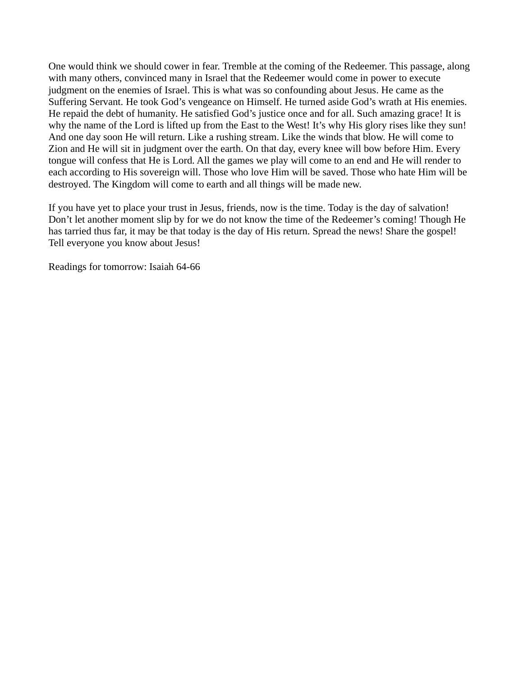One would think we should cower in fear. Tremble at the coming of the Redeemer. This passage, along with many others, convinced many in Israel that the Redeemer would come in power to execute judgment on the enemies of Israel. This is what was so confounding about Jesus. He came as the Suffering Servant. He took God's vengeance on Himself. He turned aside God's wrath at His enemies. He repaid the debt of humanity. He satisfied God's justice once and for all. Such amazing grace! It is why the name of the Lord is lifted up from the East to the West! It's why His glory rises like they sun! And one day soon He will return. Like a rushing stream. Like the winds that blow. He will come to Zion and He will sit in judgment over the earth. On that day, every knee will bow before Him. Every tongue will confess that He is Lord. All the games we play will come to an end and He will render to each according to His sovereign will. Those who love Him will be saved. Those who hate Him will be destroyed. The Kingdom will come to earth and all things will be made new.

If you have yet to place your trust in Jesus, friends, now is the time. Today is the day of salvation! Don't let another moment slip by for we do not know the time of the Redeemer's coming! Though He has tarried thus far, it may be that today is the day of His return. Spread the news! Share the gospel! Tell everyone you know about Jesus!

Readings for tomorrow: Isaiah 64-66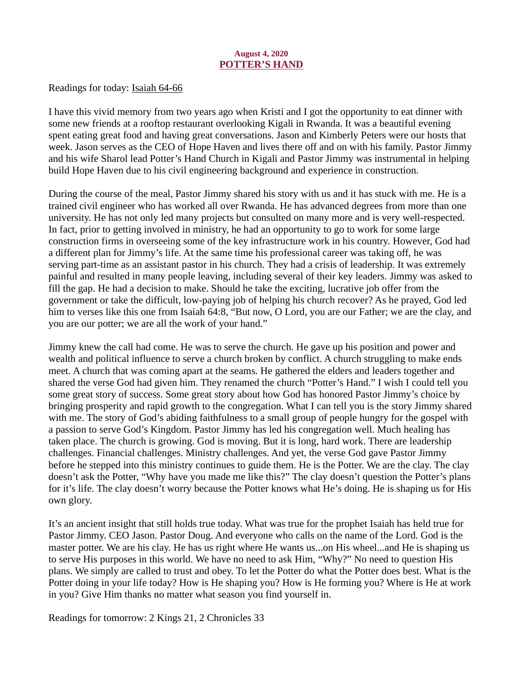#### August 4, 2020 POTTER'S HAND

<span id="page-6-0"></span>[Readings for today: Isaiah 64-66](https://www.biblegateway.com/passage/?search=Isaiah+64-66&version=ESV)

I have this vivid memory from two years ago when Kristi and I got the opportunity to eat dinner with some new friends at a rooftop restaurant overlooking Kigali in Rwanda. It was a beautiful evening spent eating great food and having great conversations. Jason and Kimberly Peters were our hosts that week. Jason serves as the CEO of Hope Haven and lives there off and on with his family. Pastor Jimmy and his wife Sharol lead Potter's Hand Church in Kigali and Pastor Jimmy was instrumental in helping build Hope Haven due to his civil engineering background and experience in construction.

During the course of the meal, Pastor Jimmy shared his story with us and it has stuck with me. He is a trained civil engineer who has worked all over Rwanda. He has advanced degrees from more than one university. He has not only led many projects but consulted on many more and is very well-respected. In fact, prior to getting involved in ministry, he had an opportunity to go to work for some large construction firms in overseeing some of the key infrastructure work in his country. However, God had a different plan for Jimmy's life. At the same time his professional career was taking off, he was serving part-time as an assistant pastor in his church. They had a crisis of leadership. It was extremely painful and resulted in many people leaving, including several of their key leaders. Jimmy was asked to fill the gap. He had a decision to make. Should he take the exciting, lucrative job offer from the government or take the difficult, low-paying job of helping his church recover? As he prayed, God led him to verses like this one from Isaiah 64:8, "But now, O Lord, you are our Father; we are the clay, and you are our potter; we are all the work of your hand."

Jimmy knew the call had come. He was to serve the church. He gave up his position and power and wealth and political influence to serve a church broken by conflict. A church struggling to make ends meet. A church that was coming apart at the seams. He gathered the elders and leaders together and shared the verse God had given him. They renamed the church "Potter's Hand." I wish I could tell you some great story of success. Some great story about how God has honored Pastor Jimmy's choice by bringing prosperity and rapid growth to the congregation. What I can tell you is the story Jimmy shared with me. The story of God's abiding faithfulness to a small group of people hungry for the gospel with a passion to serve God's Kingdom. Pastor Jimmy has led his congregation well. Much healing has taken place. The church is growing. God is moving. But it is long, hard work. There are leadership challenges. Financial challenges. Ministry challenges. And yet, the verse God gave Pastor Jimmy before he stepped into this ministry continues to guide them. He is the Potter. We are the clay. The clay doesn't ask the Potter, "Why have you made me like this?" The clay doesn't question the Potter's plans for it's life. The clay doesn't worry because the Potter knows what He's doing. He is shaping us for His own glory.

It's an ancient insight that still holds true today. What was true for the prophet Isaiah has held true for Pastor Jimmy. CEO Jason. Pastor Doug. And everyone who calls on the name of the Lord. God is the master potter. We are his clay. He has us right where He wants us...on His wheel...and He is shaping us to serve His purposes in this world. We have no need to ask Him, "Why?" No need to question His plans. We simply are called to trust and obey. To let the Potter do what the Potter does best. What is the Potter doing in your life today? How is He shaping you? How is He forming you? Where is He at work in you? Give Him thanks no matter what season you find yourself in.

Readings for tomorrow: 2 Kings 21, 2 Chronicles 33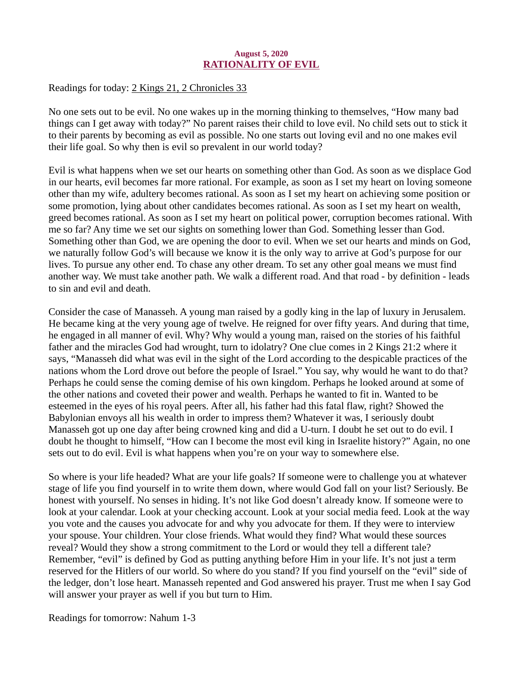## August 5, 2020 RATIONALITY OF EVIL

<span id="page-7-0"></span>[Readings for today: 2 Kings 21, 2 Chronicles 33](https://www.biblegateway.com/passage/?search=2+Kings+21%2C+2+Chronicles+33&version=ESV)

No one sets out to be evil. No one wakes up in the morning thinking to themselves, "How many bad things can I get away with today?" No parent raises their child to love evil. No child sets out to stick it to their parents by becoming as evil as possible. No one starts out loving evil and no one makes evil their life goal. So why then is evil so prevalent in our world today?

Evil is what happens when we set our hearts on something other than God. As soon as we displace God in our hearts, evil becomes far more rational. For example, as soon as I set my heart on loving someone other than my wife, adultery becomes rational. As soon as I set my heart on achieving some position or some promotion, lying about other candidates becomes rational. As soon as I set my heart on wealth, greed becomes rational. As soon as I set my heart on political power, corruption becomes rational. With me so far? Any time we set our sights on something lower than God. Something lesser than God. Something other than God, we are opening the door to evil. When we set our hearts and minds on God, we naturally follow God's will because we know it is the only way to arrive at God's purpose for our lives. To pursue any other end. To chase any other dream. To set any other goal means we must find another way. We must take another path. We walk a different road. And that road - by definition - leads to sin and evil and death.

Consider the case of Manasseh. A young man raised by a godly king in the lap of luxury in Jerusalem. He became king at the very young age of twelve. He reigned for over fifty years. And during that time, he engaged in all manner of evil. Why? Why would a young man, raised on the stories of his faithful father and the miracles God had wrought, turn to idolatry? One clue comes in 2 Kings 21:2 where it says, "Manasseh did what was evil in the sight of the Lord according to the despicable practices of the nations whom the Lord drove out before the people of Israel." You say, why would he want to do that? Perhaps he could sense the coming demise of his own kingdom. Perhaps he looked around at some of the other nations and coveted their power and wealth. Perhaps he wanted to fit in. Wanted to be esteemed in the eyes of his royal peers. After all, his father had this fatal flaw, right? Showed the Babylonian envoys all his wealth in order to impress them? Whatever it was, I seriously doubt Manasseh got up one day after being crowned king and did a U-turn. I doubt he set out to do evil. I doubt he thought to himself, "How can I become the most evil king in Israelite history?" Again, no one sets out to do evil. Evil is what happens when you're on your way to somewhere else.

So where is your life headed? What are your life goals? If someone were to challenge you at whatever stage of life you find yourself in to write them down, where would God fall on your list? Seriously. Be honest with yourself. No senses in hiding. It's not like God doesn't already know. If someone were to look at your calendar. Look at your checking account. Look at your social media feed. Look at the way you vote and the causes you advocate for and why you advocate for them. If they were to interview your spouse. Your children. Your close friends. What would they find? What would these sources reveal? Would they show a strong commitment to the Lord or would they tell a different tale? Remember, "evil" is defined by God as putting anything before Him in your life. It's not just a term reserved for the Hitlers of our world. So where do you stand? If you find yourself on the "evil" side of the ledger, don't lose heart. Manasseh repented and God answered his prayer. Trust me when I say God will answer your prayer as well if you but turn to Him.

Readings for tomorrow: Nahum 1-3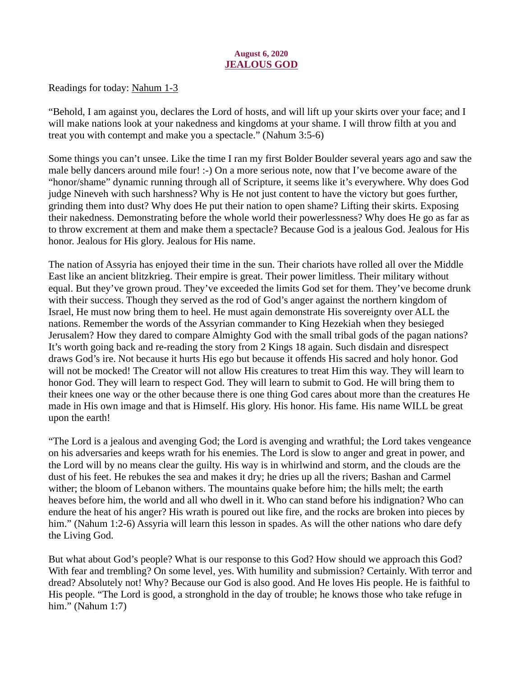## August 6, 2020 JEALOUS GOD

<span id="page-8-0"></span>[Readings for today: Nahum 1-3](https://www.biblegateway.com/passage/?search=Nahum+1-3&version=ESV)

"Behold, I am against you, declares the Lord of hosts, and will lift up your skirts over your face; and I will make nations look at your nakedness and kingdoms at your shame. I will throw filth at you and treat you with contempt and make you a spectacle." (Nahum 3:5-6)

Some things you can't unsee. Like the time I ran my first Bolder Boulder several years ago and saw the male belly dancers around mile four! :-) On a more serious note, now that I've become aware of the "honor/shame" dynamic running through all of Scripture, it seems like it's everywhere. Why does God judge Nineveh with such harshness? Why is He not just content to have the victory but goes further, grinding them into dust? Why does He put their nation to open shame? Lifting their skirts. Exposing their nakedness. Demonstrating before the whole world their powerlessness? Why does He go as far as to throw excrement at them and make them a spectacle? Because God is a jealous God. Jealous for His honor. Jealous for His glory. Jealous for His name.

The nation of Assyria has enjoyed their time in the sun. Their chariots have rolled all over the Middle East like an ancient blitzkrieg. Their empire is great. Their power limitless. Their military without equal. But they've grown proud. They've exceeded the limits God set for them. They've become drunk with their success. Though they served as the rod of God's anger against the northern kingdom of Israel, He must now bring them to heel. He must again demonstrate His sovereignty over ALL the nations. Remember the words of the Assyrian commander to King Hezekiah when they besieged Jerusalem? How they dared to compare Almighty God with the small tribal gods of the pagan nations? It's worth going back and re-reading the story from 2 Kings 18 again. Such disdain and disrespect draws God's ire. Not because it hurts His ego but because it offends His sacred and holy honor. God will not be mocked! The Creator will not allow His creatures to treat Him this way. They will learn to honor God. They will learn to respect God. They will learn to submit to God. He will bring them to their knees one way or the other because there is one thing God cares about more than the creatures He made in His own image and that is Himself. His glory. His honor. His fame. His name WILL be great upon the earth!

"The Lord is a jealous and avenging God; the Lord is avenging and wrathful; the Lord takes vengeance on his adversaries and keeps wrath for his enemies. The Lord is slow to anger and great in power, and the Lord will by no means clear the guilty. His way is in whirlwind and storm, and the clouds are the dust of his feet. He rebukes the sea and makes it dry; he dries up all the rivers; Bashan and Carmel wither; the bloom of Lebanon withers. The mountains quake before him; the hills melt; the earth heaves before him, the world and all who dwell in it. Who can stand before his indignation? Who can endure the heat of his anger? His wrath is poured out like fire, and the rocks are broken into pieces by him." (Nahum 1:2-6) Assyria will learn this lesson in spades. As will the other nations who dare defy the Living God.

But what about God's people? What is our response to this God? How should we approach this God? With fear and trembling? On some level, yes. With humility and submission? Certainly. With terror and dread? Absolutely not! Why? Because our God is also good. And He loves His people. He is faithful to His people. "The Lord is good, a stronghold in the day of trouble; he knows those who take refuge in him." (Nahum 1:7)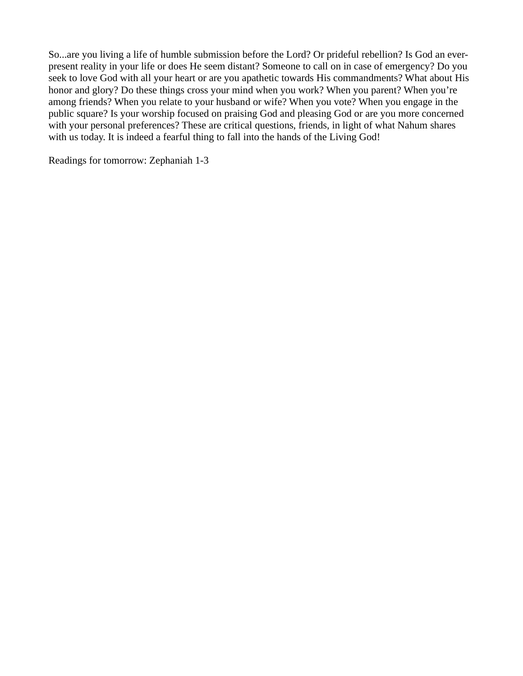So...are you living a life of humble submission before the Lord? Or prideful rebellion? Is God an everpresent reality in your life or does He seem distant? Someone to call on in case of emergency? Do you seek to love God with all your heart or are you apathetic towards His commandments? What about His honor and glory? Do these things cross your mind when you work? When you parent? When you're among friends? When you relate to your husband or wife? When you vote? When you engage in the public square? Is your worship focused on praising God and pleasing God or are you more concerned with your personal preferences? These are critical questions, friends, in light of what Nahum shares with us today. It is indeed a fearful thing to fall into the hands of the Living God!

Readings for tomorrow: Zephaniah 1-3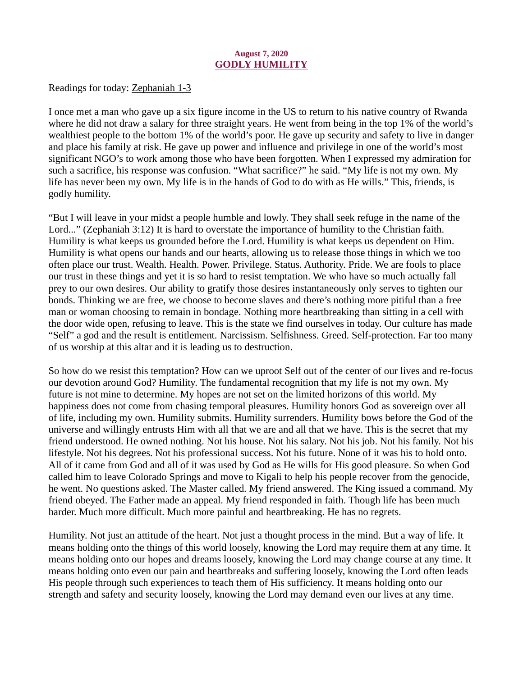## August 7, 2020 GODLY HUMILITY

<span id="page-10-0"></span>[Readings for today: Zephaniah 1-3](https://www.biblegateway.com/passage/?search=Zephaniah+1-3&version=ESV)

I once met a man who gave up a six figure income in the US to return to his native country of Rwanda where he did not draw a salary for three straight years. He went from being in the top 1% of the world's wealthiest people to the bottom 1% of the world's poor. He gave up security and safety to live in danger and place his family at risk. He gave up power and influence and privilege in one of the world's most significant NGO's to work among those who have been forgotten. When I expressed my admiration for such a sacrifice, his response was confusion. "What sacrifice?" he said. "My life is not my own. My life has never been my own. My life is in the hands of God to do with as He wills." This, friends, is godly humility.

"But I will leave in your midst a people humble and lowly. They shall seek refuge in the name of the Lord..." (Zephaniah 3:12) It is hard to overstate the importance of humility to the Christian faith. Humility is what keeps us grounded before the Lord. Humility is what keeps us dependent on Him. Humility is what opens our hands and our hearts, allowing us to release those things in which we too often place our trust. Wealth. Health. Power. Privilege. Status. Authority. Pride. We are fools to place our trust in these things and yet it is so hard to resist temptation. We who have so much actually fall prey to our own desires. Our ability to gratify those desires instantaneously only serves to tighten our bonds. Thinking we are free, we choose to become slaves and there's nothing more pitiful than a free man or woman choosing to remain in bondage. Nothing more heartbreaking than sitting in a cell with the door wide open, refusing to leave. This is the state we find ourselves in today. Our culture has made "Self" a god and the result is entitlement. Narcissism. Selfishness. Greed. Self-protection. Far too many of us worship at this altar and it is leading us to destruction.

So how do we resist this temptation? How can we uproot Self out of the center of our lives and re-focus our devotion around God? Humility. The fundamental recognition that my life is not my own. My future is not mine to determine. My hopes are not set on the limited horizons of this world. My happiness does not come from chasing temporal pleasures. Humility honors God as sovereign over all of life, including my own. Humility submits. Humility surrenders. Humility bows before the God of the universe and willingly entrusts Him with all that we are and all that we have. This is the secret that my friend understood. He owned nothing. Not his house. Not his salary. Not his job. Not his family. Not his lifestyle. Not his degrees. Not his professional success. Not his future. None of it was his to hold onto. All of it came from God and all of it was used by God as He wills for His good pleasure. So when God called him to leave Colorado Springs and move to Kigali to help his people recover from the genocide, he went. No questions asked. The Master called. My friend answered. The King issued a command. My friend obeyed. The Father made an appeal. My friend responded in faith. Though life has been much harder. Much more difficult. Much more painful and heartbreaking. He has no regrets.

Humility. Not just an attitude of the heart. Not just a thought process in the mind. But a way of life. It means holding onto the things of this world loosely, knowing the Lord may require them at any time. It means holding onto our hopes and dreams loosely, knowing the Lord may change course at any time. It means holding onto even our pain and heartbreaks and suffering loosely, knowing the Lord often leads His people through such experiences to teach them of His sufficiency. It means holding onto our strength and safety and security loosely, knowing the Lord may demand even our lives at any time.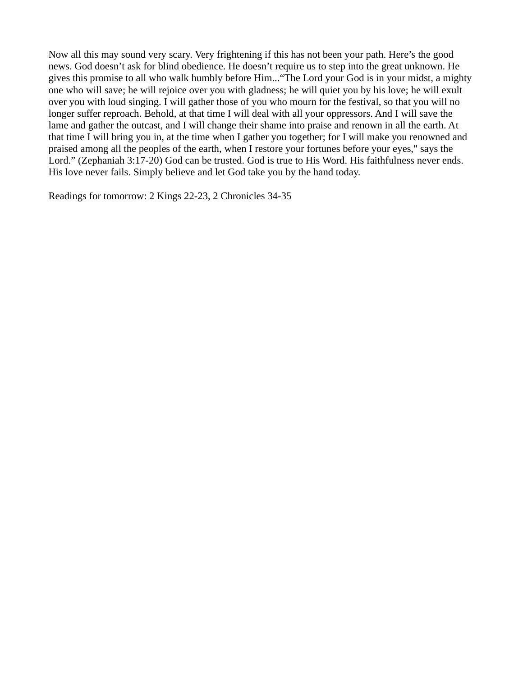Now all this may sound very scary. Very frightening if this has not been your path. Here's the good news. God doesn't ask for blind obedience. He doesn't require us to step into the great unknown. He gives this promise to all who walk humbly before Him..."The Lord your God is in your midst, a mighty one who will save; he will rejoice over you with gladness; he will quiet you by his love; he will exult over you with loud singing. I will gather those of you who mourn for the festival, so that you will no longer suffer reproach. Behold, at that time I will deal with all your oppressors. And I will save the lame and gather the outcast, and I will change their shame into praise and renown in all the earth. At that time I will bring you in, at the time when I gather you together; for I will make you renowned and praised among all the peoples of the earth, when I restore your fortunes before your eyes," says the Lord." (Zephaniah 3:17-20) God can be trusted. God is true to His Word. His faithfulness never ends. His love never fails. Simply believe and let God take you by the hand today.

Readings for tomorrow: 2 Kings 22-23, 2 Chronicles 34-35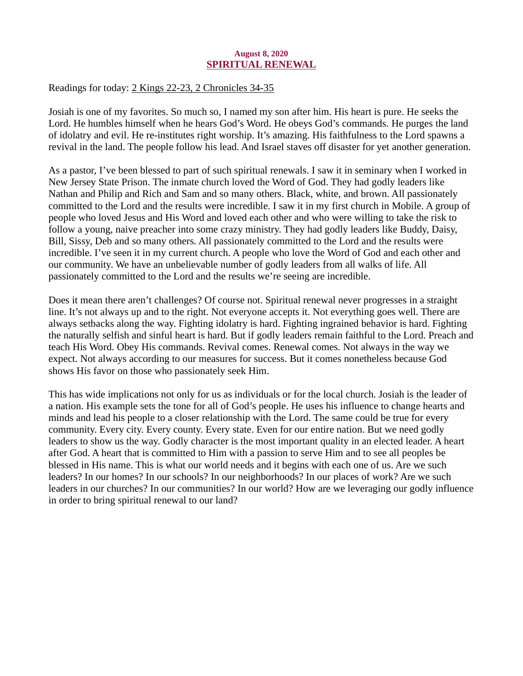#### August 8, 2020 SPIRITUAL RENEWAL

# <span id="page-12-0"></span>[Readings for today: 2 Kings 22-23, 2 Chronicles 34-35](https://www.biblegateway.com/passage/?search=2+Kings+22-23%2C+2+Chronicles+34-35&version=ESV)

Josiah is one of my favorites. So much so, I named my son after him. His heart is pure. He seeks the Lord. He humbles himself when he hears God's Word. He obeys God's commands. He purges the land of idolatry and evil. He re-institutes right worship. It's amazing. His faithfulness to the Lord spawns a revival in the land. The people follow his lead. And Israel staves off disaster for yet another generation.

As a pastor, I've been blessed to part of such spiritual renewals. I saw it in seminary when I worked in New Jersey State Prison. The inmate church loved the Word of God. They had godly leaders like Nathan and Philip and Rich and Sam and so many others. Black, white, and brown. All passionately committed to the Lord and the results were incredible. I saw it in my first church in Mobile. A group of people who loved Jesus and His Word and loved each other and who were willing to take the risk to follow a young, naive preacher into some crazy ministry. They had godly leaders like Buddy, Daisy, Bill, Sissy, Deb and so many others. All passionately committed to the Lord and the results were incredible. I've seen it in my current church. A people who love the Word of God and each other and our community. We have an unbelievable number of godly leaders from all walks of life. All passionately committed to the Lord and the results we're seeing are incredible.

Does it mean there aren't challenges? Of course not. Spiritual renewal never progresses in a straight line. It's not always up and to the right. Not everyone accepts it. Not everything goes well. There are always setbacks along the way. Fighting idolatry is hard. Fighting ingrained behavior is hard. Fighting the naturally selfish and sinful heart is hard. But if godly leaders remain faithful to the Lord. Preach and teach His Word. Obey His commands. Revival comes. Renewal comes. Not always in the way we expect. Not always according to our measures for success. But it comes nonetheless because God shows His favor on those who passionately seek Him.

This has wide implications not only for us as individuals or for the local church. Josiah is the leader of a nation. His example sets the tone for all of God's people. He uses his influence to change hearts and minds and lead his people to a closer relationship with the Lord. The same could be true for every community. Every city. Every county. Every state. Even for our entire nation. But we need godly leaders to show us the way. Godly character is the most important quality in an elected leader. A heart after God. A heart that is committed to Him with a passion to serve Him and to see all peoples be blessed in His name. This is what our world needs and it begins with each one of us. Are we such leaders? In our homes? In our schools? In our neighborhoods? In our places of work? Are we such leaders in our churches? In our communities? In our world? How are we leveraging our godly influence in order to bring spiritual renewal to our land?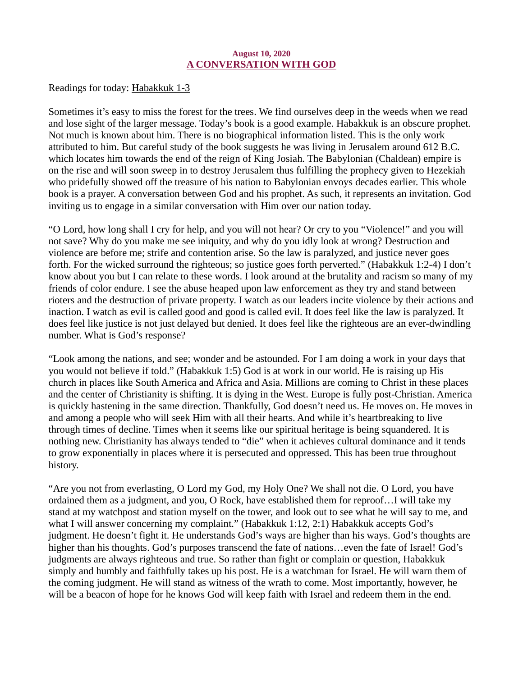#### August 10, 2020 A CONVERSATION WITH GOD

<span id="page-13-0"></span>Readings for today: **Habakkuk 1-3** 

Sometimes it's easy to miss the forest for the trees. We find ourselves deep in the weeds when we read and lose sight of the larger message. Today's book is a good example. Habakkuk is an obscure prophet. Not much is known about him. There is no biographical information listed. This is the only work attributed to him. But careful study of the book suggests he was living in Jerusalem around 612 B.C. which locates him towards the end of the reign of King Josiah. The Babylonian (Chaldean) empire is on the rise and will soon sweep in to destroy Jerusalem thus fulfilling the prophecy given to Hezekiah who pridefully showed off the treasure of his nation to Babylonian envoys decades earlier. This whole book is a prayer. A conversation between God and his prophet. As such, it represents an invitation. God inviting us to engage in a similar conversation with Him over our nation today.

"O Lord, how long shall I cry for help, and you will not hear? Or cry to you "Violence!" and you will not save? Why do you make me see iniquity, and why do you idly look at wrong? Destruction and violence are before me; strife and contention arise. So the law is paralyzed, and justice never goes forth. For the wicked surround the righteous; so justice goes forth perverted." (Habakkuk 1:2-4) I don't know about you but I can relate to these words. I look around at the brutality and racism so many of my friends of color endure. I see the abuse heaped upon law enforcement as they try and stand between rioters and the destruction of private property. I watch as our leaders incite violence by their actions and inaction. I watch as evil is called good and good is called evil. It does feel like the law is paralyzed. It does feel like justice is not just delayed but denied. It does feel like the righteous are an ever-dwindling number. What is God's response?

"Look among the nations, and see; wonder and be astounded. For I am doing a work in your days that you would not believe if told." (Habakkuk 1:5) God is at work in our world. He is raising up His church in places like South America and Africa and Asia. Millions are coming to Christ in these places and the center of Christianity is shifting. It is dying in the West. Europe is fully post-Christian. America is quickly hastening in the same direction. Thankfully, God doesn't need us. He moves on. He moves in and among a people who will seek Him with all their hearts. And while it's heartbreaking to live through times of decline. Times when it seems like our spiritual heritage is being squandered. It is nothing new. Christianity has always tended to "die" when it achieves cultural dominance and it tends to grow exponentially in places where it is persecuted and oppressed. This has been true throughout history.

"Are you not from everlasting, O Lord my God, my Holy One? We shall not die. O Lord, you have ordained them as a judgment, and you, O Rock, have established them for reproof…I will take my stand at my watchpost and station myself on the tower, and look out to see what he will say to me, and what I will answer concerning my complaint." (Habakkuk 1:12, 2:1) Habakkuk accepts God's judgment. He doesn't fight it. He understands God's ways are higher than his ways. God's thoughts are higher than his thoughts. God's purposes transcend the fate of nations...even the fate of Israel! God's judgments are always righteous and true. So rather than fight or complain or question, Habakkuk simply and humbly and faithfully takes up his post. He is a watchman for Israel. He will warn them of the coming judgment. He will stand as witness of the wrath to come. Most importantly, however, he will be a beacon of hope for he knows God will keep faith with Israel and redeem them in the end.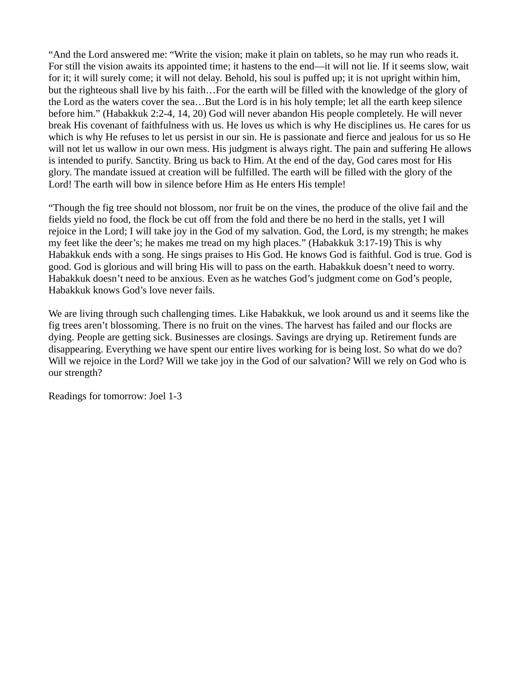"And the Lord answered me: "Write the vision; make it plain on tablets, so he may run who reads it. For still the vision awaits its appointed time; it hastens to the end—it will not lie. If it seems slow, wait for it; it will surely come; it will not delay. Behold, his soul is puffed up; it is not upright within him, but the righteous shall live by his faith…For the earth will be filled with the knowledge of the glory of the Lord as the waters cover the sea…But the Lord is in his holy temple; let all the earth keep silence before him." (Habakkuk 2:2-4, 14, 20) God will never abandon His people completely. He will never break His covenant of faithfulness with us. He loves us which is why He disciplines us. He cares for us which is why He refuses to let us persist in our sin. He is passionate and fierce and jealous for us so He will not let us wallow in our own mess. His judgment is always right. The pain and suffering He allows is intended to purify. Sanctity. Bring us back to Him. At the end of the day, God cares most for His glory. The mandate issued at creation will be fulfilled. The earth will be filled with the glory of the Lord! The earth will bow in silence before Him as He enters His temple!

"Though the fig tree should not blossom, nor fruit be on the vines, the produce of the olive fail and the fields yield no food, the flock be cut off from the fold and there be no herd in the stalls, yet I will rejoice in the Lord; I will take joy in the God of my salvation. God, the Lord, is my strength; he makes my feet like the deer's; he makes me tread on my high places." (Habakkuk 3:17-19) This is why Habakkuk ends with a song. He sings praises to His God. He knows God is faithful. God is true. God is good. God is glorious and will bring His will to pass on the earth. Habakkuk doesn't need to worry. Habakkuk doesn't need to be anxious. Even as he watches God's judgment come on God's people, Habakkuk knows God's love never fails.

We are living through such challenging times. Like Habakkuk, we look around us and it seems like the fig trees aren't blossoming. There is no fruit on the vines. The harvest has failed and our flocks are dying. People are getting sick. Businesses are closings. Savings are drying up. Retirement funds are disappearing. Everything we have spent our entire lives working for is being lost. So what do we do? Will we rejoice in the Lord? Will we take joy in the God of our salvation? Will we rely on God who is our strength?

Readings for tomorrow: Joel 1-3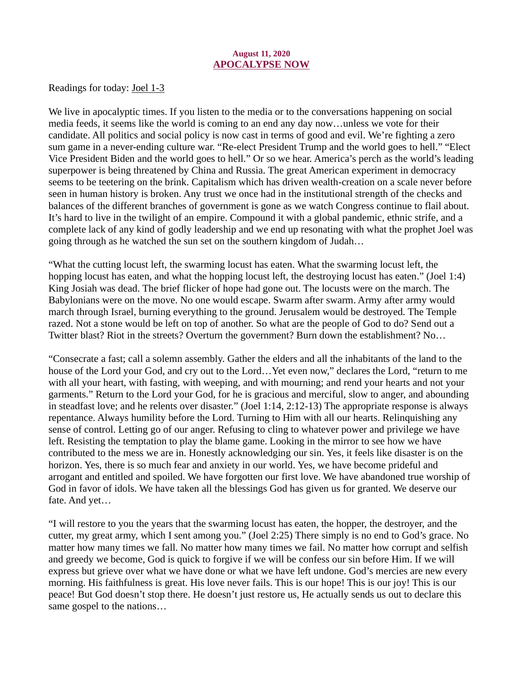#### August 11, 2020 APOCALYPSE NOW

<span id="page-15-0"></span>Readings for today: **Joel 1-3** 

We live in apocalyptic times. If you listen to the media or to the conversations happening on social media feeds, it seems like the world is coming to an end any day now…unless we vote for their candidate. All politics and social policy is now cast in terms of good and evil. We're fighting a zero sum game in a never-ending culture war. "Re-elect President Trump and the world goes to hell." "Elect Vice President Biden and the world goes to hell." Or so we hear. America's perch as the world's leading superpower is being threatened by China and Russia. The great American experiment in democracy seems to be teetering on the brink. Capitalism which has driven wealth-creation on a scale never before seen in human history is broken. Any trust we once had in the institutional strength of the checks and balances of the different branches of government is gone as we watch Congress continue to flail about. It's hard to live in the twilight of an empire. Compound it with a global pandemic, ethnic strife, and a complete lack of any kind of godly leadership and we end up resonating with what the prophet Joel was going through as he watched the sun set on the southern kingdom of Judah…

"What the cutting locust left, the swarming locust has eaten. What the swarming locust left, the hopping locust has eaten, and what the hopping locust left, the destroying locust has eaten." (Joel 1:4) King Josiah was dead. The brief flicker of hope had gone out. The locusts were on the march. The Babylonians were on the move. No one would escape. Swarm after swarm. Army after army would march through Israel, burning everything to the ground. Jerusalem would be destroyed. The Temple razed. Not a stone would be left on top of another. So what are the people of God to do? Send out a Twitter blast? Riot in the streets? Overturn the government? Burn down the establishment? No…

"Consecrate a fast; call a solemn assembly. Gather the elders and all the inhabitants of the land to the house of the Lord your God, and cry out to the Lord…Yet even now," declares the Lord, "return to me with all your heart, with fasting, with weeping, and with mourning; and rend your hearts and not your garments." Return to the Lord your God, for he is gracious and merciful, slow to anger, and abounding in steadfast love; and he relents over disaster." (Joel 1:14, 2:12-13) The appropriate response is always repentance. Always humility before the Lord. Turning to Him with all our hearts. Relinquishing any sense of control. Letting go of our anger. Refusing to cling to whatever power and privilege we have left. Resisting the temptation to play the blame game. Looking in the mirror to see how we have contributed to the mess we are in. Honestly acknowledging our sin. Yes, it feels like disaster is on the horizon. Yes, there is so much fear and anxiety in our world. Yes, we have become prideful and arrogant and entitled and spoiled. We have forgotten our first love. We have abandoned true worship of God in favor of idols. We have taken all the blessings God has given us for granted. We deserve our fate. And yet…

"I will restore to you the years that the swarming locust has eaten, the hopper, the destroyer, and the cutter, my great army, which I sent among you." (Joel 2:25) There simply is no end to God's grace. No matter how many times we fall. No matter how many times we fail. No matter how corrupt and selfish and greedy we become, God is quick to forgive if we will be confess our sin before Him. If we will express but grieve over what we have done or what we have left undone. God's mercies are new every morning. His faithfulness is great. His love never fails. This is our hope! This is our joy! This is our peace! But God doesn't stop there. He doesn't just restore us, He actually sends us out to declare this same gospel to the nations…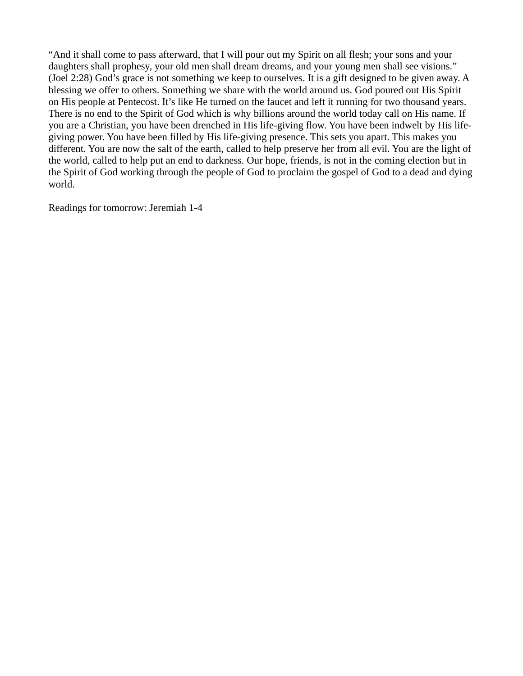"And it shall come to pass afterward, that I will pour out my Spirit on all flesh; your sons and your daughters shall prophesy, your old men shall dream dreams, and your young men shall see visions." (Joel 2:28) God's grace is not something we keep to ourselves. It is a gift designed to be given away. A blessing we offer to others. Something we share with the world around us. God poured out His Spirit on His people at Pentecost. It's like He turned on the faucet and left it running for two thousand years. There is no end to the Spirit of God which is why billions around the world today call on His name. If you are a Christian, you have been drenched in His life-giving flow. You have been indwelt by His lifegiving power. You have been filled by His life-giving presence. This sets you apart. This makes you different. You are now the salt of the earth, called to help preserve her from all evil. You are the light of the world, called to help put an end to darkness. Our hope, friends, is not in the coming election but in the Spirit of God working through the people of God to proclaim the gospel of God to a dead and dying world.

Readings for tomorrow: Jeremiah 1-4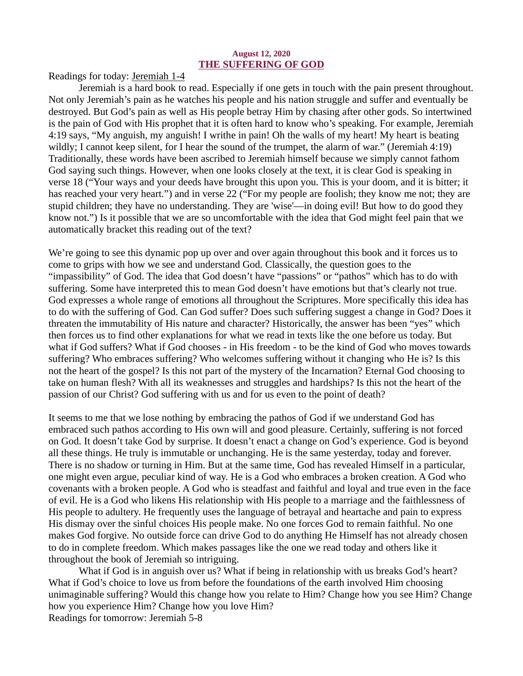#### August 12, 2020 THE SUFFERING OF GOD

<span id="page-17-0"></span>[Readings for today: Jeremiah 1-4](https://www.biblegateway.com/passage/?search=Jeremiah+1-4&version=ESV)

Jeremiah is a hard book to read. Especially if one gets in touch with the pain present throughout. Not only Jeremiah's pain as he watches his people and his nation struggle and suffer and eventually be destroyed. But God's pain as well as His people betray Him by chasing after other gods. So intertwined is the pain of God with His prophet that it is often hard to know who's speaking. For example, Jeremiah 4:19 says, "My anguish, my anguish! I writhe in pain! Oh the walls of my heart! My heart is beating wildly; I cannot keep silent, for I hear the sound of the trumpet, the alarm of war." (Jeremiah 4:19) Traditionally, these words have been ascribed to Jeremiah himself because we simply cannot fathom God saying such things. However, when one looks closely at the text, it is clear God is speaking in verse 18 ("Your ways and your deeds have brought this upon you. This is your doom, and it is bitter; it has reached your very heart.") and in verse 22 ("For my people are foolish; they know me not; they are stupid children; they have no understanding. They are 'wise'—in doing evil! But how to do good they know not.") Is it possible that we are so uncomfortable with the idea that God might feel pain that we automatically bracket this reading out of the text?

We're going to see this dynamic pop up over and over again throughout this book and it forces us to come to grips with how we see and understand God. Classically, the question goes to the "impassibility" of God. The idea that God doesn't have "passions" or "pathos" which has to do with suffering. Some have interpreted this to mean God doesn't have emotions but that's clearly not true. God expresses a whole range of emotions all throughout the Scriptures. More specifically this idea has to do with the suffering of God. Can God suffer? Does such suffering suggest a change in God? Does it threaten the immutability of His nature and character? Historically, the answer has been "yes" which then forces us to find other explanations for what we read in texts like the one before us today. But what if God suffers? What if God chooses - in His freedom - to be the kind of God who moves towards suffering? Who embraces suffering? Who welcomes suffering without it changing who He is? Is this not the heart of the gospel? Is this not part of the mystery of the Incarnation? Eternal God choosing to take on human flesh? With all its weaknesses and struggles and hardships? Is this not the heart of the passion of our Christ? God suffering with us and for us even to the point of death?

It seems to me that we lose nothing by embracing the pathos of God if we understand God has embraced such pathos according to His own will and good pleasure. Certainly, suffering is not forced on God. It doesn't take God by surprise. It doesn't enact a change on God's experience. God is beyond all these things. He truly is immutable or unchanging. He is the same yesterday, today and forever. There is no shadow or turning in Him. But at the same time, God has revealed Himself in a particular, one might even argue, peculiar kind of way. He is a God who embraces a broken creation. A God who covenants with a broken people. A God who is steadfast and faithful and loyal and true even in the face of evil. He is a God who likens His relationship with His people to a marriage and the faithlessness of His people to adultery. He frequently uses the language of betrayal and heartache and pain to express His dismay over the sinful choices His people make. No one forces God to remain faithful. No one makes God forgive. No outside force can drive God to do anything He Himself has not already chosen to do in complete freedom. Which makes passages like the one we read today and others like it throughout the book of Jeremiah so intriguing.

What if God is in anguish over us? What if being in relationship with us breaks God's heart? What if God's choice to love us from before the foundations of the earth involved Him choosing unimaginable suffering? Would this change how you relate to Him? Change how you see Him? Change how you experience Him? Change how you love Him? Readings for tomorrow: Jeremiah 5-8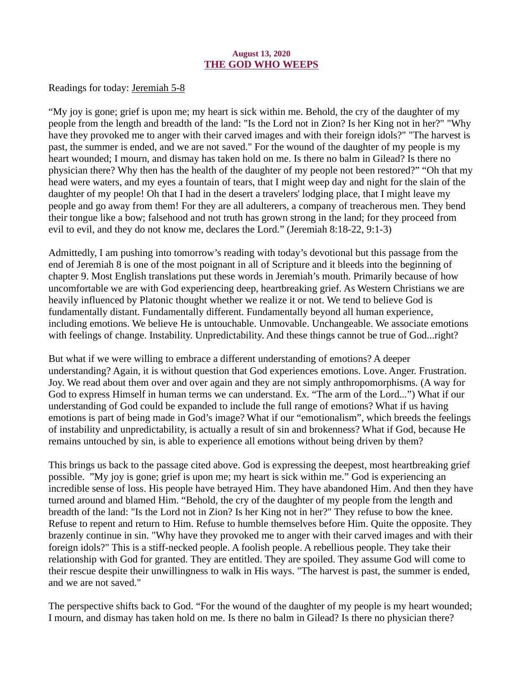## August 13, 2020 THE GOD WHO WEEPS

<span id="page-18-0"></span>[Readings for today: Jeremiah 5-8](https://www.biblegateway.com/passage/?search=Jeremiah+5-8&version=ESV)

"My joy is gone; grief is upon me; my heart is sick within me. Behold, the cry of the daughter of my people from the length and breadth of the land: "Is the Lord not in Zion? Is her King not in her?" "Why have they provoked me to anger with their carved images and with their foreign idols?" "The harvest is past, the summer is ended, and we are not saved." For the wound of the daughter of my people is my heart wounded; I mourn, and dismay has taken hold on me. Is there no balm in Gilead? Is there no physician there? Why then has the health of the daughter of my people not been restored?" "Oh that my head were waters, and my eyes a fountain of tears, that I might weep day and night for the slain of the daughter of my people! Oh that I had in the desert a travelers' lodging place, that I might leave my people and go away from them! For they are all adulterers, a company of treacherous men. They bend their tongue like a bow; falsehood and not truth has grown strong in the land; for they proceed from evil to evil, and they do not know me, declares the Lord." (Jeremiah 8:18-22, 9:1-3)

Admittedly, I am pushing into tomorrow's reading with today's devotional but this passage from the end of Jeremiah 8 is one of the most poignant in all of Scripture and it bleeds into the beginning of chapter 9. Most English translations put these words in Jeremiah's mouth. Primarily because of how uncomfortable we are with God experiencing deep, heartbreaking grief. As Western Christians we are heavily influenced by Platonic thought whether we realize it or not. We tend to believe God is fundamentally distant. Fundamentally different. Fundamentally beyond all human experience, including emotions. We believe He is untouchable. Unmovable. Unchangeable. We associate emotions with feelings of change. Instability. Unpredictability. And these things cannot be true of God...right?

But what if we were willing to embrace a different understanding of emotions? A deeper understanding? Again, it is without question that God experiences emotions. Love. Anger. Frustration. Joy. We read about them over and over again and they are not simply anthropomorphisms. (A way for God to express Himself in human terms we can understand. Ex. "The arm of the Lord...") What if our understanding of God could be expanded to include the full range of emotions? What if us having emotions is part of being made in God's image? What if our "emotionalism", which breeds the feelings of instability and unpredictability, is actually a result of sin and brokenness? What if God, because He remains untouched by sin, is able to experience all emotions without being driven by them?

This brings us back to the passage cited above. God is expressing the deepest, most heartbreaking grief possible. "My joy is gone; grief is upon me; my heart is sick within me." God is experiencing an incredible sense of loss. His people have betrayed Him. They have abandoned Him. And then they have turned around and blamed Him. "Behold, the cry of the daughter of my people from the length and breadth of the land: "Is the Lord not in Zion? Is her King not in her?" They refuse to bow the knee. Refuse to repent and return to Him. Refuse to humble themselves before Him. Quite the opposite. They brazenly continue in sin. "Why have they provoked me to anger with their carved images and with their foreign idols?" This is a stiff-necked people. A foolish people. A rebellious people. They take their relationship with God for granted. They are entitled. They are spoiled. They assume God will come to their rescue despite their unwillingness to walk in His ways. "The harvest is past, the summer is ended, and we are not saved."

The perspective shifts back to God. "For the wound of the daughter of my people is my heart wounded; I mourn, and dismay has taken hold on me. Is there no balm in Gilead? Is there no physician there?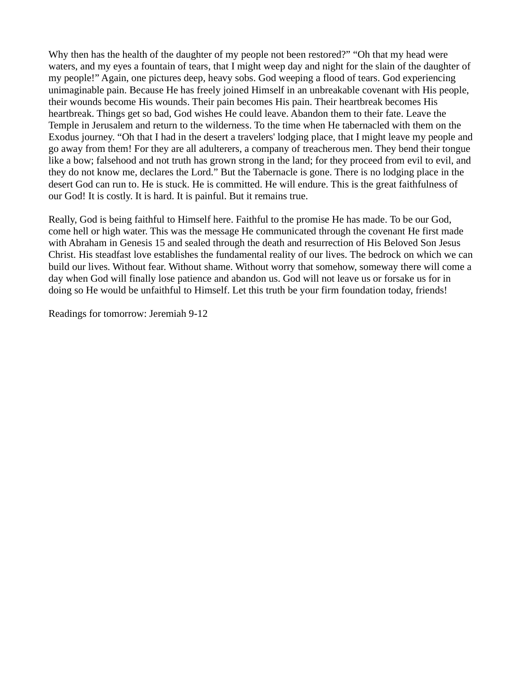Why then has the health of the daughter of my people not been restored?" "Oh that my head were waters, and my eyes a fountain of tears, that I might weep day and night for the slain of the daughter of my people!" Again, one pictures deep, heavy sobs. God weeping a flood of tears. God experiencing unimaginable pain. Because He has freely joined Himself in an unbreakable covenant with His people, their wounds become His wounds. Their pain becomes His pain. Their heartbreak becomes His heartbreak. Things get so bad, God wishes He could leave. Abandon them to their fate. Leave the Temple in Jerusalem and return to the wilderness. To the time when He tabernacled with them on the Exodus journey. "Oh that I had in the desert a travelers' lodging place, that I might leave my people and go away from them! For they are all adulterers, a company of treacherous men. They bend their tongue like a bow; falsehood and not truth has grown strong in the land; for they proceed from evil to evil, and they do not know me, declares the Lord." But the Tabernacle is gone. There is no lodging place in the desert God can run to. He is stuck. He is committed. He will endure. This is the great faithfulness of our God! It is costly. It is hard. It is painful. But it remains true.

Really, God is being faithful to Himself here. Faithful to the promise He has made. To be our God, come hell or high water. This was the message He communicated through the covenant He first made with Abraham in Genesis 15 and sealed through the death and resurrection of His Beloved Son Jesus Christ. His steadfast love establishes the fundamental reality of our lives. The bedrock on which we can build our lives. Without fear. Without shame. Without worry that somehow, someway there will come a day when God will finally lose patience and abandon us. God will not leave us or forsake us for in doing so He would be unfaithful to Himself. Let this truth be your firm foundation today, friends!

Readings for tomorrow: Jeremiah 9-12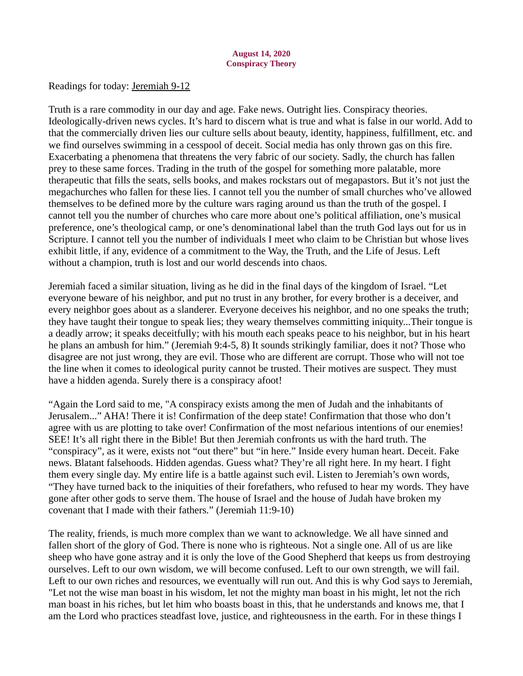<span id="page-20-0"></span>[Readings for today: Jeremiah 9-12](https://www.biblegateway.com/passage/?search=Jeremiah+9-12&version=ESV)

Truth is a rare commodity in our day and age. Fake news. Outright lies. Conspiracy theories. Ideologically-driven news cycles. It's hard to discern what is true and what is false in our world. Add to that the commercially driven lies our culture sells about beauty, identity, happiness, fulfillment, etc. and we find ourselves swimming in a cesspool of deceit. Social media has only thrown gas on this fire. Exacerbating a phenomena that threatens the very fabric of our society. Sadly, the church has fallen prey to these same forces. Trading in the truth of the gospel for something more palatable, more therapeutic that fills the seats, sells books, and makes rockstars out of megapastors. But it's not just the megachurches who fallen for these lies. I cannot tell you the number of small churches who've allowed themselves to be defined more by the culture wars raging around us than the truth of the gospel. I cannot tell you the number of churches who care more about one's political affiliation, one's musical preference, one's theological camp, or one's denominational label than the truth God lays out for us in Scripture. I cannot tell you the number of individuals I meet who claim to be Christian but whose lives exhibit little, if any, evidence of a commitment to the Way, the Truth, and the Life of Jesus. Left without a champion, truth is lost and our world descends into chaos.

Jeremiah faced a similar situation, living as he did in the final days of the kingdom of Israel. "Let everyone beware of his neighbor, and put no trust in any brother, for every brother is a deceiver, and every neighbor goes about as a slanderer. Everyone deceives his neighbor, and no one speaks the truth; they have taught their tongue to speak lies; they weary themselves committing iniquity...Their tongue is a deadly arrow; it speaks deceitfully; with his mouth each speaks peace to his neighbor, but in his heart he plans an ambush for him." (Jeremiah 9:4-5, 8) It sounds strikingly familiar, does it not? Those who disagree are not just wrong, they are evil. Those who are different are corrupt. Those who will not toe the line when it comes to ideological purity cannot be trusted. Their motives are suspect. They must have a hidden agenda. Surely there is a conspiracy afoot!

"Again the Lord said to me, "A conspiracy exists among the men of Judah and the inhabitants of Jerusalem..." AHA! There it is! Confirmation of the deep state! Confirmation that those who don't agree with us are plotting to take over! Confirmation of the most nefarious intentions of our enemies! SEE! It's all right there in the Bible! But then Jeremiah confronts us with the hard truth. The "conspiracy", as it were, exists not "out there" but "in here." Inside every human heart. Deceit. Fake news. Blatant falsehoods. Hidden agendas. Guess what? They're all right here. In my heart. I fight them every single day. My entire life is a battle against such evil. Listen to Jeremiah's own words, "They have turned back to the iniquities of their forefathers, who refused to hear my words. They have gone after other gods to serve them. The house of Israel and the house of Judah have broken my covenant that I made with their fathers." (Jeremiah 11:9-10)

The reality, friends, is much more complex than we want to acknowledge. We all have sinned and fallen short of the glory of God. There is none who is righteous. Not a single one. All of us are like sheep who have gone astray and it is only the love of the Good Shepherd that keeps us from destroying ourselves. Left to our own wisdom, we will become confused. Left to our own strength, we will fail. Left to our own riches and resources, we eventually will run out. And this is why God says to Jeremiah, "Let not the wise man boast in his wisdom, let not the mighty man boast in his might, let not the rich man boast in his riches, but let him who boasts boast in this, that he understands and knows me, that I am the Lord who practices steadfast love, justice, and righteousness in the earth. For in these things I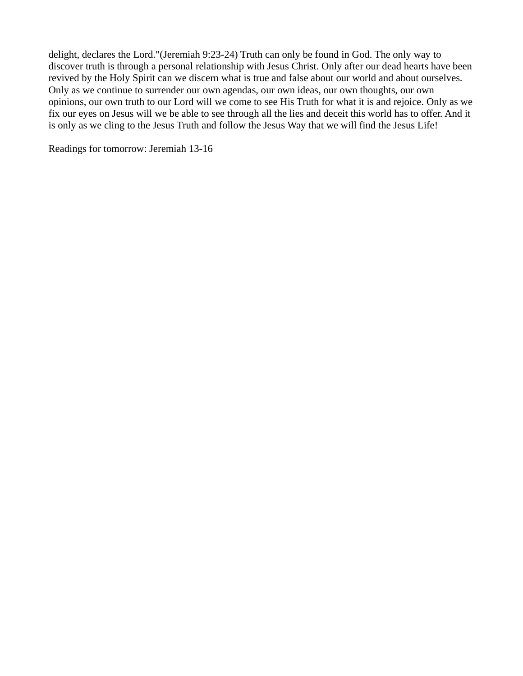delight, declares the Lord."(Jeremiah 9:23-24) Truth can only be found in God. The only way to discover truth is through a personal relationship with Jesus Christ. Only after our dead hearts have been revived by the Holy Spirit can we discern what is true and false about our world and about ourselves. Only as we continue to surrender our own agendas, our own ideas, our own thoughts, our own opinions, our own truth to our Lord will we come to see His Truth for what it is and rejoice. Only as we fix our eyes on Jesus will we be able to see through all the lies and deceit this world has to offer. And it is only as we cling to the Jesus Truth and follow the Jesus Way that we will find the Jesus Life!

Readings for tomorrow: Jeremiah 13-16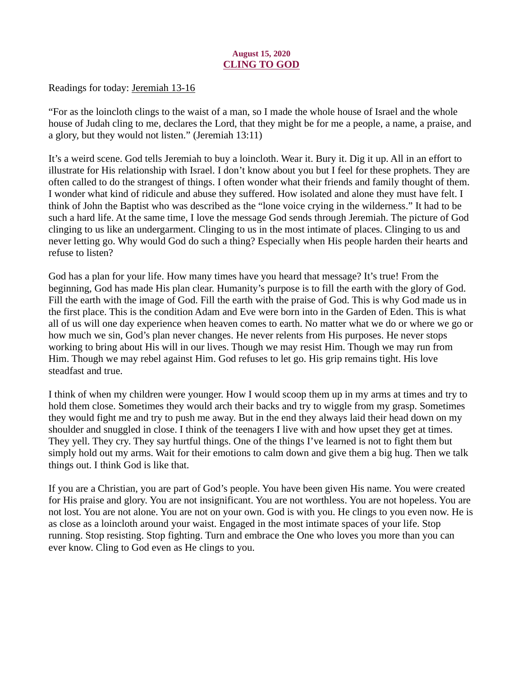## August 15, 2020 CLING TO GOD

<span id="page-22-0"></span>[Readings for today: Jeremiah 13-16](https://www.biblegateway.com/passage/?search=Jeremiah+13-16&version=ESV)

"For as the loincloth clings to the waist of a man, so I made the whole house of Israel and the whole house of Judah cling to me, declares the Lord, that they might be for me a people, a name, a praise, and a glory, but they would not listen." (Jeremiah 13:11)

It's a weird scene. God tells Jeremiah to buy a loincloth. Wear it. Bury it. Dig it up. All in an effort to illustrate for His relationship with Israel. I don't know about you but I feel for these prophets. They are often called to do the strangest of things. I often wonder what their friends and family thought of them. I wonder what kind of ridicule and abuse they suffered. How isolated and alone they must have felt. I think of John the Baptist who was described as the "lone voice crying in the wilderness." It had to be such a hard life. At the same time, I love the message God sends through Jeremiah. The picture of God clinging to us like an undergarment. Clinging to us in the most intimate of places. Clinging to us and never letting go. Why would God do such a thing? Especially when His people harden their hearts and refuse to listen?

God has a plan for your life. How many times have you heard that message? It's true! From the beginning, God has made His plan clear. Humanity's purpose is to fill the earth with the glory of God. Fill the earth with the image of God. Fill the earth with the praise of God. This is why God made us in the first place. This is the condition Adam and Eve were born into in the Garden of Eden. This is what all of us will one day experience when heaven comes to earth. No matter what we do or where we go or how much we sin, God's plan never changes. He never relents from His purposes. He never stops working to bring about His will in our lives. Though we may resist Him. Though we may run from Him. Though we may rebel against Him. God refuses to let go. His grip remains tight. His love steadfast and true.

I think of when my children were younger. How I would scoop them up in my arms at times and try to hold them close. Sometimes they would arch their backs and try to wiggle from my grasp. Sometimes they would fight me and try to push me away. But in the end they always laid their head down on my shoulder and snuggled in close. I think of the teenagers I live with and how upset they get at times. They yell. They cry. They say hurtful things. One of the things I've learned is not to fight them but simply hold out my arms. Wait for their emotions to calm down and give them a big hug. Then we talk things out. I think God is like that.

If you are a Christian, you are part of God's people. You have been given His name. You were created for His praise and glory. You are not insignificant. You are not worthless. You are not hopeless. You are not lost. You are not alone. You are not on your own. God is with you. He clings to you even now. He is as close as a loincloth around your waist. Engaged in the most intimate spaces of your life. Stop running. Stop resisting. Stop fighting. Turn and embrace the One who loves you more than you can ever know. Cling to God even as He clings to you.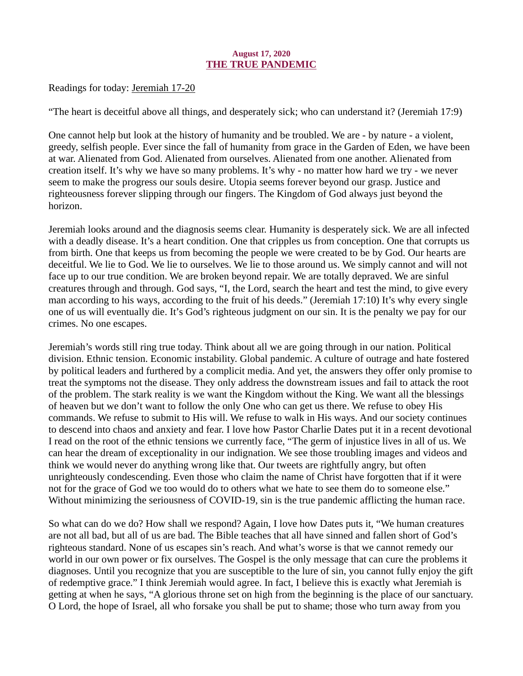## August 17, 2020 THE TRUE PANDEMIC

<span id="page-23-0"></span>[Readings for today: Jeremiah 17-20](https://www.biblegateway.com/passage/?search=Jeremiah+17-20&version=ESV)

"The heart is deceitful above all things, and desperately sick; who can understand it? (Jeremiah 17:9)

One cannot help but look at the history of humanity and be troubled. We are - by nature - a violent, greedy, selfish people. Ever since the fall of humanity from grace in the Garden of Eden, we have been at war. Alienated from God. Alienated from ourselves. Alienated from one another. Alienated from creation itself. It's why we have so many problems. It's why - no matter how hard we try - we never seem to make the progress our souls desire. Utopia seems forever beyond our grasp. Justice and righteousness forever slipping through our fingers. The Kingdom of God always just beyond the horizon.

Jeremiah looks around and the diagnosis seems clear. Humanity is desperately sick. We are all infected with a deadly disease. It's a heart condition. One that cripples us from conception. One that corrupts us from birth. One that keeps us from becoming the people we were created to be by God. Our hearts are deceitful. We lie to God. We lie to ourselves. We lie to those around us. We simply cannot and will not face up to our true condition. We are broken beyond repair. We are totally depraved. We are sinful creatures through and through. God says, "I, the Lord, search the heart and test the mind, to give every man according to his ways, according to the fruit of his deeds." (Jeremiah 17:10) It's why every single one of us will eventually die. It's God's righteous judgment on our sin. It is the penalty we pay for our crimes. No one escapes.

Jeremiah's words still ring true today. Think about all we are going through in our nation. Political division. Ethnic tension. Economic instability. Global pandemic. A culture of outrage and hate fostered by political leaders and furthered by a complicit media. And yet, the answers they offer only promise to treat the symptoms not the disease. They only address the downstream issues and fail to attack the root of the problem. The stark reality is we want the Kingdom without the King. We want all the blessings of heaven but we don't want to follow the only One who can get us there. We refuse to obey His commands. We refuse to submit to His will. We refuse to walk in His ways. And our society continues to descend into chaos and anxiety and fear. I love how Pastor Charlie Dates put it in a recent devotional I read on the root of the ethnic tensions we currently face, "The germ of injustice lives in all of us. We can hear the dream of exceptionality in our indignation. We see those troubling images and videos and think we would never do anything wrong like that. Our tweets are rightfully angry, but often unrighteously condescending. Even those who claim the name of Christ have forgotten that if it were not for the grace of God we too would do to others what we hate to see them do to someone else." Without minimizing the seriousness of COVID-19, sin is the true pandemic afflicting the human race.

So what can do we do? How shall we respond? Again, I love how Dates puts it, "We human creatures are not all bad, but all of us are bad. The Bible teaches that all have sinned and fallen short of God's righteous standard. None of us escapes sin's reach. And what's worse is that we cannot remedy our world in our own power or fix ourselves. The Gospel is the only message that can cure the problems it diagnoses. Until you recognize that you are susceptible to the lure of sin, you cannot fully enjoy the gift of redemptive grace." I think Jeremiah would agree. In fact, I believe this is exactly what Jeremiah is getting at when he says, "A glorious throne set on high from the beginning is the place of our sanctuary. O Lord, the hope of Israel, all who forsake you shall be put to shame; those who turn away from you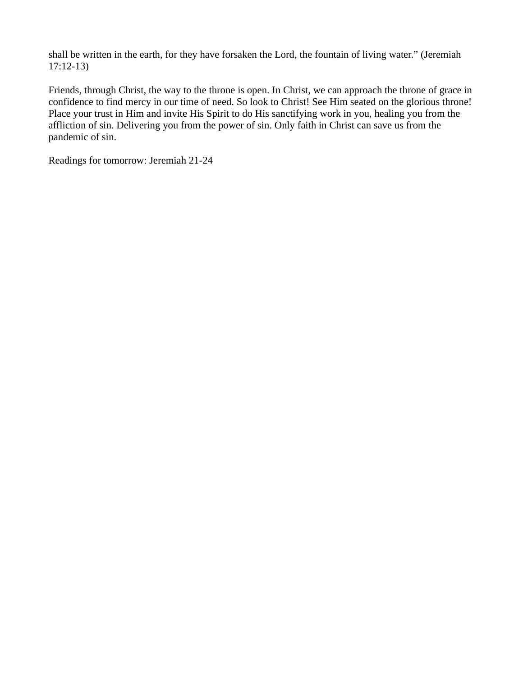shall be written in the earth, for they have forsaken the Lord, the fountain of living water." (Jeremiah 17:12-13)

Friends, through Christ, the way to the throne is open. In Christ, we can approach the throne of grace in confidence to find mercy in our time of need. So look to Christ! See Him seated on the glorious throne! Place your trust in Him and invite His Spirit to do His sanctifying work in you, healing you from the affliction of sin. Delivering you from the power of sin. Only faith in Christ can save us from the pandemic of sin.

Readings for tomorrow: Jeremiah 21-24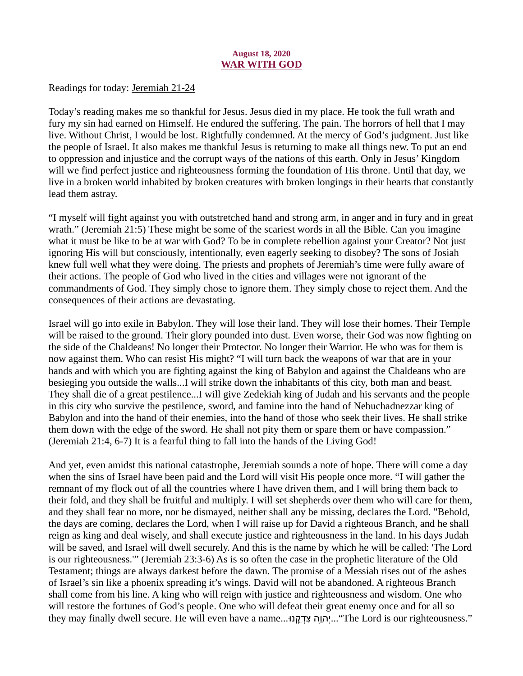## August 18, 2020 WAR WITH GOD

<span id="page-25-0"></span>[Readings for today: Jeremiah 21-24](https://www.biblegateway.com/passage/?search=Jeremiah+21-24&version=ESV)

Today's reading makes me so thankful for Jesus. Jesus died in my place. He took the full wrath and fury my sin had earned on Himself. He endured the suffering. The pain. The horrors of hell that I may live. Without Christ, I would be lost. Rightfully condemned. At the mercy of God's judgment. Just like the people of Israel. It also makes me thankful Jesus is returning to make all things new. To put an end to oppression and injustice and the corrupt ways of the nations of this earth. Only in Jesus' Kingdom will we find perfect justice and righteousness forming the foundation of His throne. Until that day, we live in a broken world inhabited by broken creatures with broken longings in their hearts that constantly lead them astray.

"I myself will fight against you with outstretched hand and strong arm, in anger and in fury and in great wrath." (Jeremiah 21:5) These might be some of the scariest words in all the Bible. Can you imagine what it must be like to be at war with God? To be in complete rebellion against your Creator? Not just ignoring His will but consciously, intentionally, even eagerly seeking to disobey? The sons of Josiah knew full well what they were doing. The priests and prophets of Jeremiah's time were fully aware of their actions. The people of God who lived in the cities and villages were not ignorant of the commandments of God. They simply chose to ignore them. They simply chose to reject them. And the consequences of their actions are devastating.

Israel will go into exile in Babylon. They will lose their land. They will lose their homes. Their Temple will be raised to the ground. Their glory pounded into dust. Even worse, their God was now fighting on the side of the Chaldeans! No longer their Protector. No longer their Warrior. He who was for them is now against them. Who can resist His might? "I will turn back the weapons of war that are in your hands and with which you are fighting against the king of Babylon and against the Chaldeans who are besieging you outside the walls...I will strike down the inhabitants of this city, both man and beast. They shall die of a great pestilence...I will give Zedekiah king of Judah and his servants and the people in this city who survive the pestilence, sword, and famine into the hand of Nebuchadnezzar king of Babylon and into the hand of their enemies, into the hand of those who seek their lives. He shall strike them down with the edge of the sword. He shall not pity them or spare them or have compassion." (Jeremiah 21:4, 6-7) It is a fearful thing to fall into the hands of the Living God!

And yet, even amidst this national catastrophe, Jeremiah sounds a note of hope. There will come a day when the sins of Israel have been paid and the Lord will visit His people once more. "I will gather the remnant of my flock out of all the countries where I have driven them, and I will bring them back to their fold, and they shall be fruitful and multiply. I will set shepherds over them who will care for them, and they shall fear no more, nor be dismayed, neither shall any be missing, declares the Lord. "Behold, the days are coming, declares the Lord, when I will raise up for David a righteous Branch, and he shall reign as king and deal wisely, and shall execute justice and righteousness in the land. In his days Judah will be saved, and Israel will dwell securely. And this is the name by which he will be called: 'The Lord is our righteousness.'" (Jeremiah 23:3-6) As is so often the case in the prophetic literature of the Old Testament; things are always darkest before the dawn. The promise of a Messiah rises out of the ashes of Israel's sin like a phoenix spreading it's wings. David will not be abandoned. A righteous Branch shall come from his line. A king who will reign with justice and righteousness and wisdom. One who will restore the fortunes of God's people. One who will defeat their great enemy once and for all so they may finally dwell secure. He will even have a name...!הְוֶה צְדְקֵנוּ..."The Lord is our righteousness."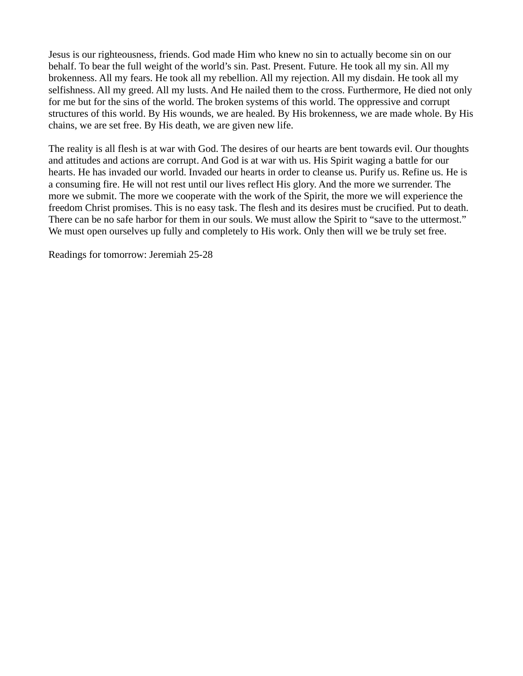Jesus is our righteousness, friends. God made Him who knew no sin to actually become sin on our behalf. To bear the full weight of the world's sin. Past. Present. Future. He took all my sin. All my brokenness. All my fears. He took all my rebellion. All my rejection. All my disdain. He took all my selfishness. All my greed. All my lusts. And He nailed them to the cross. Furthermore, He died not only for me but for the sins of the world. The broken systems of this world. The oppressive and corrupt structures of this world. By His wounds, we are healed. By His brokenness, we are made whole. By His chains, we are set free. By His death, we are given new life.

The reality is all flesh is at war with God. The desires of our hearts are bent towards evil. Our thoughts and attitudes and actions are corrupt. And God is at war with us. His Spirit waging a battle for our hearts. He has invaded our world. Invaded our hearts in order to cleanse us. Purify us. Refine us. He is a consuming fire. He will not rest until our lives reflect His glory. And the more we surrender. The more we submit. The more we cooperate with the work of the Spirit, the more we will experience the freedom Christ promises. This is no easy task. The flesh and its desires must be crucified. Put to death. There can be no safe harbor for them in our souls. We must allow the Spirit to "save to the uttermost." We must open ourselves up fully and completely to His work. Only then will we be truly set free.

Readings for tomorrow: Jeremiah 25-28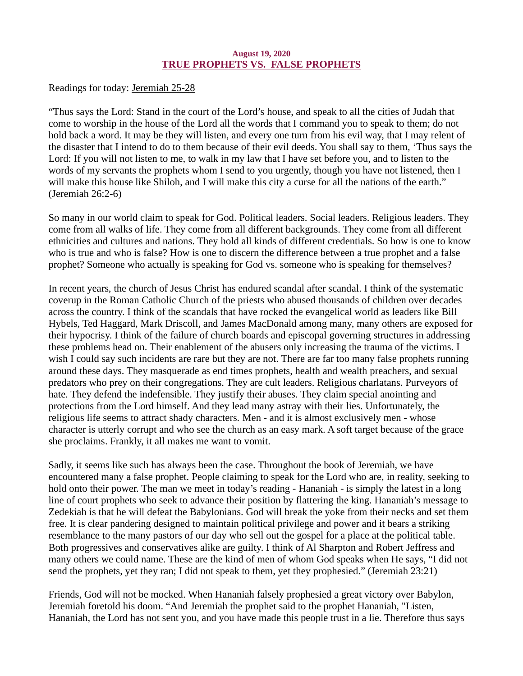## August 19, 2020 TRUE PROPHETS VS. FALSE PROPHETS

<span id="page-27-0"></span>[Readings for today: Jeremiah 25-28](https://www.biblegateway.com/passage/?search=Jeremiah+25-28&version=ESV)

"Thus says the Lord: Stand in the court of the Lord's house, and speak to all the cities of Judah that come to worship in the house of the Lord all the words that I command you to speak to them; do not hold back a word. It may be they will listen, and every one turn from his evil way, that I may relent of the disaster that I intend to do to them because of their evil deeds. You shall say to them, 'Thus says the Lord: If you will not listen to me, to walk in my law that I have set before you, and to listen to the words of my servants the prophets whom I send to you urgently, though you have not listened, then I will make this house like Shiloh, and I will make this city a curse for all the nations of the earth." (Jeremiah 26:2-6)

So many in our world claim to speak for God. Political leaders. Social leaders. Religious leaders. They come from all walks of life. They come from all different backgrounds. They come from all different ethnicities and cultures and nations. They hold all kinds of different credentials. So how is one to know who is true and who is false? How is one to discern the difference between a true prophet and a false prophet? Someone who actually is speaking for God vs. someone who is speaking for themselves?

In recent years, the church of Jesus Christ has endured scandal after scandal. I think of the systematic coverup in the Roman Catholic Church of the priests who abused thousands of children over decades across the country. I think of the scandals that have rocked the evangelical world as leaders like Bill Hybels, Ted Haggard, Mark Driscoll, and James MacDonald among many, many others are exposed for their hypocrisy. I think of the failure of church boards and episcopal governing structures in addressing these problems head on. Their enablement of the abusers only increasing the trauma of the victims. I wish I could say such incidents are rare but they are not. There are far too many false prophets running around these days. They masquerade as end times prophets, health and wealth preachers, and sexual predators who prey on their congregations. They are cult leaders. Religious charlatans. Purveyors of hate. They defend the indefensible. They justify their abuses. They claim special anointing and protections from the Lord himself. And they lead many astray with their lies. Unfortunately, the religious life seems to attract shady characters. Men - and it is almost exclusively men - whose character is utterly corrupt and who see the church as an easy mark. A soft target because of the grace she proclaims. Frankly, it all makes me want to vomit.

Sadly, it seems like such has always been the case. Throughout the book of Jeremiah, we have encountered many a false prophet. People claiming to speak for the Lord who are, in reality, seeking to hold onto their power. The man we meet in today's reading - Hananiah - is simply the latest in a long line of court prophets who seek to advance their position by flattering the king. Hananiah's message to Zedekiah is that he will defeat the Babylonians. God will break the yoke from their necks and set them free. It is clear pandering designed to maintain political privilege and power and it bears a striking resemblance to the many pastors of our day who sell out the gospel for a place at the political table. Both progressives and conservatives alike are guilty. I think of Al Sharpton and Robert Jeffress and many others we could name. These are the kind of men of whom God speaks when He says, "I did not send the prophets, yet they ran; I did not speak to them, yet they prophesied." (Jeremiah 23:21)

Friends, God will not be mocked. When Hananiah falsely prophesied a great victory over Babylon, Jeremiah foretold his doom. "And Jeremiah the prophet said to the prophet Hananiah, "Listen, Hananiah, the Lord has not sent you, and you have made this people trust in a lie. Therefore thus says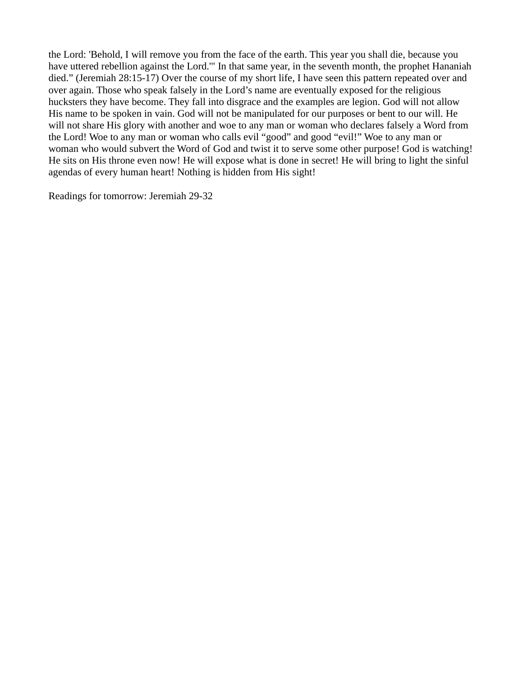the Lord: 'Behold, I will remove you from the face of the earth. This year you shall die, because you have uttered rebellion against the Lord.'" In that same year, in the seventh month, the prophet Hananiah died." (Jeremiah 28:15-17) Over the course of my short life, I have seen this pattern repeated over and over again. Those who speak falsely in the Lord's name are eventually exposed for the religious hucksters they have become. They fall into disgrace and the examples are legion. God will not allow His name to be spoken in vain. God will not be manipulated for our purposes or bent to our will. He will not share His glory with another and woe to any man or woman who declares falsely a Word from the Lord! Woe to any man or woman who calls evil "good" and good "evil!" Woe to any man or woman who would subvert the Word of God and twist it to serve some other purpose! God is watching! He sits on His throne even now! He will expose what is done in secret! He will bring to light the sinful agendas of every human heart! Nothing is hidden from His sight!

Readings for tomorrow: Jeremiah 29-32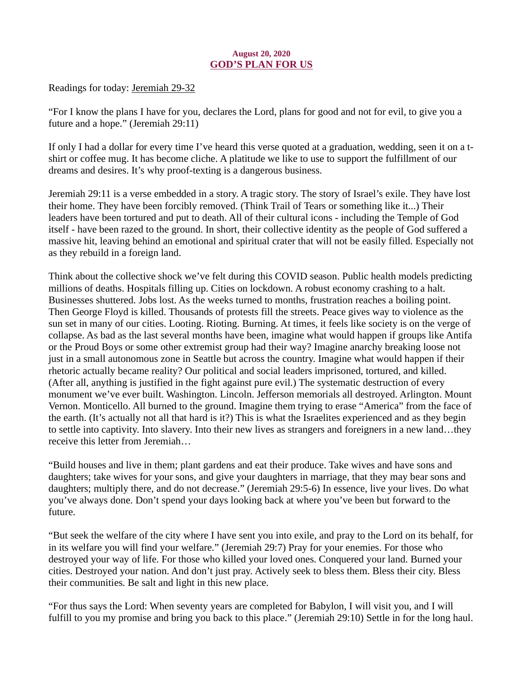# August 20, 2020 GOD'S PLAN FOR US

<span id="page-29-0"></span>[Readings for today: Jeremiah 29-32](https://www.biblegateway.com/passage/?search=Jeremiah+29-32&version=ESV)

"For I know the plans I have for you, declares the Lord, plans for good and not for evil, to give you a future and a hope." (Jeremiah 29:11)

If only I had a dollar for every time I've heard this verse quoted at a graduation, wedding, seen it on a tshirt or coffee mug. It has become cliche. A platitude we like to use to support the fulfillment of our dreams and desires. It's why proof-texting is a dangerous business.

Jeremiah 29:11 is a verse embedded in a story. A tragic story. The story of Israel's exile. They have lost their home. They have been forcibly removed. (Think Trail of Tears or something like it...) Their leaders have been tortured and put to death. All of their cultural icons - including the Temple of God itself - have been razed to the ground. In short, their collective identity as the people of God suffered a massive hit, leaving behind an emotional and spiritual crater that will not be easily filled. Especially not as they rebuild in a foreign land.

Think about the collective shock we've felt during this COVID season. Public health models predicting millions of deaths. Hospitals filling up. Cities on lockdown. A robust economy crashing to a halt. Businesses shuttered. Jobs lost. As the weeks turned to months, frustration reaches a boiling point. Then George Floyd is killed. Thousands of protests fill the streets. Peace gives way to violence as the sun set in many of our cities. Looting. Rioting. Burning. At times, it feels like society is on the verge of collapse. As bad as the last several months have been, imagine what would happen if groups like Antifa or the Proud Boys or some other extremist group had their way? Imagine anarchy breaking loose not just in a small autonomous zone in Seattle but across the country. Imagine what would happen if their rhetoric actually became reality? Our political and social leaders imprisoned, tortured, and killed. (After all, anything is justified in the fight against pure evil.) The systematic destruction of every monument we've ever built. Washington. Lincoln. Jefferson memorials all destroyed. Arlington. Mount Vernon. Monticello. All burned to the ground. Imagine them trying to erase "America" from the face of the earth. (It's actually not all that hard is it?) This is what the Israelites experienced and as they begin to settle into captivity. Into slavery. Into their new lives as strangers and foreigners in a new land…they receive this letter from Jeremiah…

"Build houses and live in them; plant gardens and eat their produce. Take wives and have sons and daughters; take wives for your sons, and give your daughters in marriage, that they may bear sons and daughters; multiply there, and do not decrease." (Jeremiah 29:5-6) In essence, live your lives. Do what you've always done. Don't spend your days looking back at where you've been but forward to the future.

"But seek the welfare of the city where I have sent you into exile, and pray to the Lord on its behalf, for in its welfare you will find your welfare." (Jeremiah 29:7) Pray for your enemies. For those who destroyed your way of life. For those who killed your loved ones. Conquered your land. Burned your cities. Destroyed your nation. And don't just pray. Actively seek to bless them. Bless their city. Bless their communities. Be salt and light in this new place.

"For thus says the Lord: When seventy years are completed for Babylon, I will visit you, and I will fulfill to you my promise and bring you back to this place." (Jeremiah 29:10) Settle in for the long haul.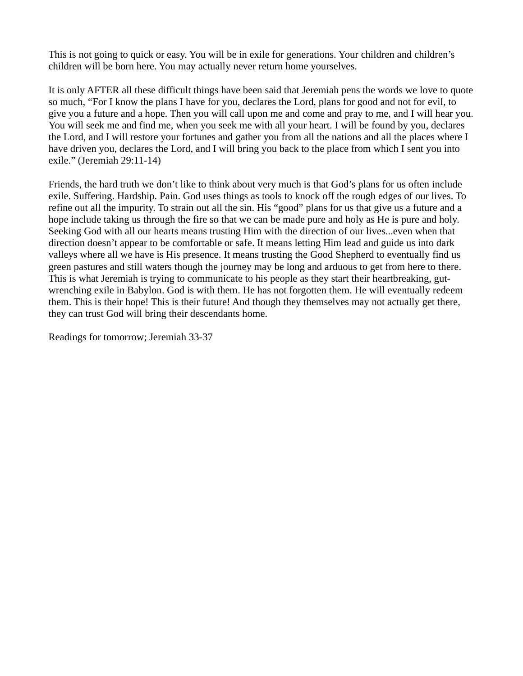This is not going to quick or easy. You will be in exile for generations. Your children and children's children will be born here. You may actually never return home yourselves.

It is only AFTER all these difficult things have been said that Jeremiah pens the words we love to quote so much, "For I know the plans I have for you, declares the Lord, plans for good and not for evil, to give you a future and a hope. Then you will call upon me and come and pray to me, and I will hear you. You will seek me and find me, when you seek me with all your heart. I will be found by you, declares the Lord, and I will restore your fortunes and gather you from all the nations and all the places where I have driven you, declares the Lord, and I will bring you back to the place from which I sent you into exile." (Jeremiah 29:11-14)

Friends, the hard truth we don't like to think about very much is that God's plans for us often include exile. Suffering. Hardship. Pain. God uses things as tools to knock off the rough edges of our lives. To refine out all the impurity. To strain out all the sin. His "good" plans for us that give us a future and a hope include taking us through the fire so that we can be made pure and holy as He is pure and holy. Seeking God with all our hearts means trusting Him with the direction of our lives...even when that direction doesn't appear to be comfortable or safe. It means letting Him lead and guide us into dark valleys where all we have is His presence. It means trusting the Good Shepherd to eventually find us green pastures and still waters though the journey may be long and arduous to get from here to there. This is what Jeremiah is trying to communicate to his people as they start their heartbreaking, gutwrenching exile in Babylon. God is with them. He has not forgotten them. He will eventually redeem them. This is their hope! This is their future! And though they themselves may not actually get there, they can trust God will bring their descendants home.

Readings for tomorrow; Jeremiah 33-37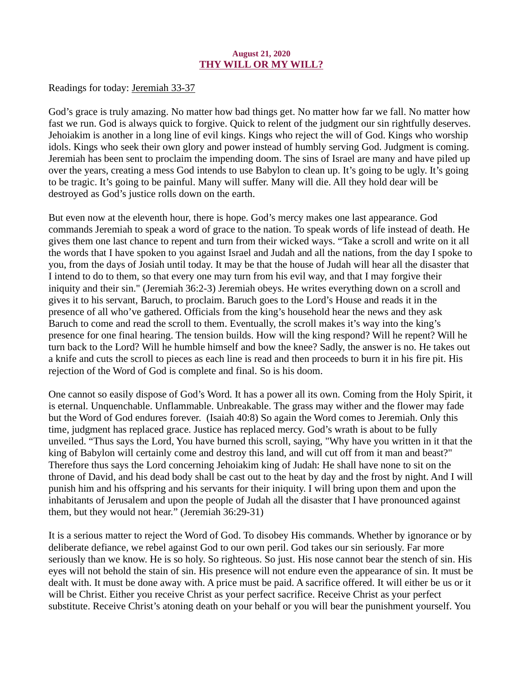## August 21, 2020 THY WILL OR MY WILL?

[Readings for today: Jeremiah 33-37](https://www.biblegateway.com/passage/?search=Jeremiah+33-37&version=ESV)

God's grace is truly amazing. No matter how bad things get. No matter how far we fall. No matter how fast we run. God is always quick to forgive. Quick to relent of the judgment our sin rightfully deserves. Jehoiakim is another in a long line of evil kings. Kings who reject the will of God. Kings who worship idols. Kings who seek their own glory and power instead of humbly serving God. Judgment is coming. Jeremiah has been sent to proclaim the impending doom. The sins of Israel are many and have piled up over the years, creating a mess God intends to use Babylon to clean up. It's going to be ugly. It's going to be tragic. It's going to be painful. Many will suffer. Many will die. All they hold dear will be destroyed as God's justice rolls down on the earth.

But even now at the eleventh hour, there is hope. God's mercy makes one last appearance. God commands Jeremiah to speak a word of grace to the nation. To speak words of life instead of death. He gives them one last chance to repent and turn from their wicked ways. "Take a scroll and write on it all the words that I have spoken to you against Israel and Judah and all the nations, from the day I spoke to you, from the days of Josiah until today. It may be that the house of Judah will hear all the disaster that I intend to do to them, so that every one may turn from his evil way, and that I may forgive their iniquity and their sin." (Jeremiah 36:2-3) Jeremiah obeys. He writes everything down on a scroll and gives it to his servant, Baruch, to proclaim. Baruch goes to the Lord's House and reads it in the presence of all who've gathered. Officials from the king's household hear the news and they ask Baruch to come and read the scroll to them. Eventually, the scroll makes it's way into the king's presence for one final hearing. The tension builds. How will the king respond? Will he repent? Will he turn back to the Lord? Will he humble himself and bow the knee? Sadly, the answer is no. He takes out a knife and cuts the scroll to pieces as each line is read and then proceeds to burn it in his fire pit. His rejection of the Word of God is complete and final. So is his doom.

One cannot so easily dispose of God's Word. It has a power all its own. Coming from the Holy Spirit, it is eternal. Unquenchable. Unflammable. Unbreakable. The grass may wither and the flower may fade but the Word of God endures forever. (Isaiah 40:8) So again the Word comes to Jeremiah. Only this time, judgment has replaced grace. Justice has replaced mercy. God's wrath is about to be fully unveiled. "Thus says the Lord, You have burned this scroll, saying, "Why have you written in it that the king of Babylon will certainly come and destroy this land, and will cut off from it man and beast?" Therefore thus says the Lord concerning Jehoiakim king of Judah: He shall have none to sit on the throne of David, and his dead body shall be cast out to the heat by day and the frost by night. And I will punish him and his offspring and his servants for their iniquity. I will bring upon them and upon the inhabitants of Jerusalem and upon the people of Judah all the disaster that I have pronounced against them, but they would not hear." (Jeremiah 36:29-31)

It is a serious matter to reject the Word of God. To disobey His commands. Whether by ignorance or by deliberate defiance, we rebel against God to our own peril. God takes our sin seriously. Far more seriously than we know. He is so holy. So righteous. So just. His nose cannot bear the stench of sin. His eyes will not behold the stain of sin. His presence will not endure even the appearance of sin. It must be dealt with. It must be done away with. A price must be paid. A sacrifice offered. It will either be us or it will be Christ. Either you receive Christ as your perfect sacrifice. Receive Christ as your perfect substitute. Receive Christ's atoning death on your behalf or you will bear the punishment yourself. You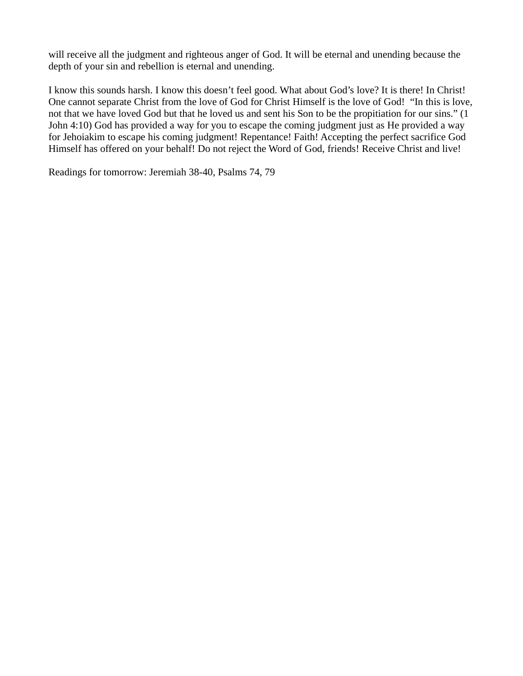will receive all the judgment and righteous anger of God. It will be eternal and unending because the depth of your sin and rebellion is eternal and unending.

I know this sounds harsh. I know this doesn't feel good. What about God's love? It is there! In Christ! One cannot separate Christ from the love of God for Christ Himself is the love of God! "In this is love, not that we have loved God but that he loved us and sent his Son to be the propitiation for our sins." (1 John 4:10) God has provided a way for you to escape the coming judgment just as He provided a way for Jehoiakim to escape his coming judgment! Repentance! Faith! Accepting the perfect sacrifice God Himself has offered on your behalf! Do not reject the Word of God, friends! Receive Christ and live!

Readings for tomorrow: Jeremiah 38-40, Psalms 74, 79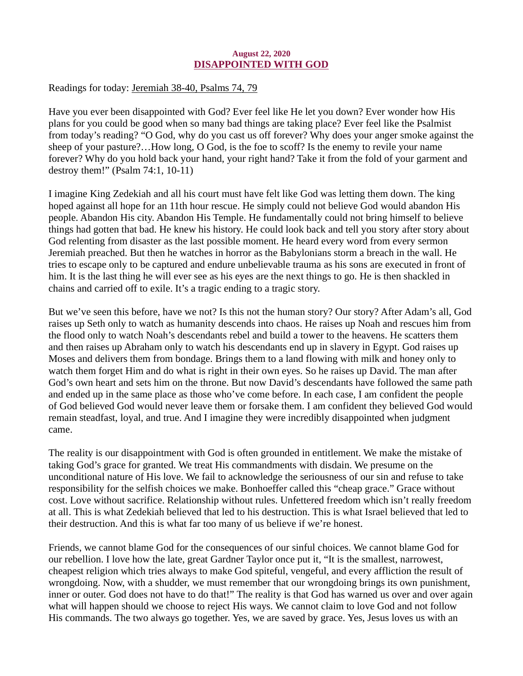## August 22, 2020 DISAPPOINTED WITH GOD

<span id="page-33-0"></span>[Readings for today: Jeremiah 38-40, Psalms 74, 79](https://www.biblegateway.com/passage/?search=Jeremiah+38-40%2C+Psalms+74%2C+79&version=ESV)

Have you ever been disappointed with God? Ever feel like He let you down? Ever wonder how His plans for you could be good when so many bad things are taking place? Ever feel like the Psalmist from today's reading? "O God, why do you cast us off forever? Why does your anger smoke against the sheep of your pasture?…How long, O God, is the foe to scoff? Is the enemy to revile your name forever? Why do you hold back your hand, your right hand? Take it from the fold of your garment and destroy them!" (Psalm 74:1, 10-11)

I imagine King Zedekiah and all his court must have felt like God was letting them down. The king hoped against all hope for an 11th hour rescue. He simply could not believe God would abandon His people. Abandon His city. Abandon His Temple. He fundamentally could not bring himself to believe things had gotten that bad. He knew his history. He could look back and tell you story after story about God relenting from disaster as the last possible moment. He heard every word from every sermon Jeremiah preached. But then he watches in horror as the Babylonians storm a breach in the wall. He tries to escape only to be captured and endure unbelievable trauma as his sons are executed in front of him. It is the last thing he will ever see as his eyes are the next things to go. He is then shackled in chains and carried off to exile. It's a tragic ending to a tragic story.

But we've seen this before, have we not? Is this not the human story? Our story? After Adam's all, God raises up Seth only to watch as humanity descends into chaos. He raises up Noah and rescues him from the flood only to watch Noah's descendants rebel and build a tower to the heavens. He scatters them and then raises up Abraham only to watch his descendants end up in slavery in Egypt. God raises up Moses and delivers them from bondage. Brings them to a land flowing with milk and honey only to watch them forget Him and do what is right in their own eyes. So he raises up David. The man after God's own heart and sets him on the throne. But now David's descendants have followed the same path and ended up in the same place as those who've come before. In each case, I am confident the people of God believed God would never leave them or forsake them. I am confident they believed God would remain steadfast, loyal, and true. And I imagine they were incredibly disappointed when judgment came.

The reality is our disappointment with God is often grounded in entitlement. We make the mistake of taking God's grace for granted. We treat His commandments with disdain. We presume on the unconditional nature of His love. We fail to acknowledge the seriousness of our sin and refuse to take responsibility for the selfish choices we make. Bonhoeffer called this "cheap grace." Grace without cost. Love without sacrifice. Relationship without rules. Unfettered freedom which isn't really freedom at all. This is what Zedekiah believed that led to his destruction. This is what Israel believed that led to their destruction. And this is what far too many of us believe if we're honest.

Friends, we cannot blame God for the consequences of our sinful choices. We cannot blame God for our rebellion. I love how the late, great Gardner Taylor once put it, "It is the smallest, narrowest, cheapest religion which tries always to make God spiteful, vengeful, and every affliction the result of wrongdoing. Now, with a shudder, we must remember that our wrongdoing brings its own punishment, inner or outer. God does not have to do that!" The reality is that God has warned us over and over again what will happen should we choose to reject His ways. We cannot claim to love God and not follow His commands. The two always go together. Yes, we are saved by grace. Yes, Jesus loves us with an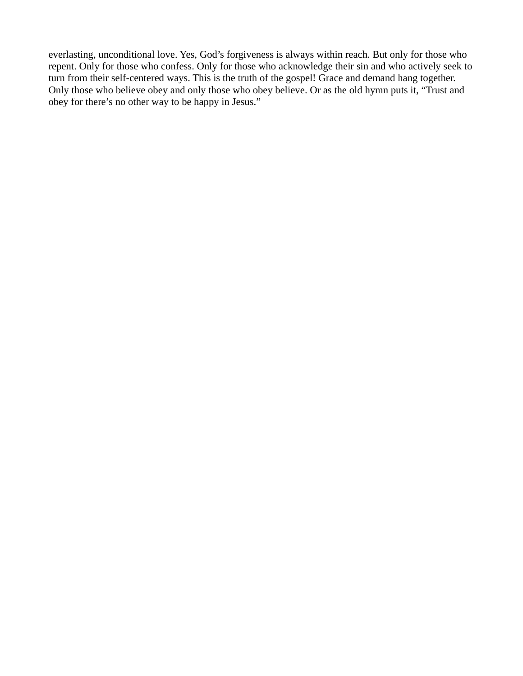everlasting, unconditional love. Yes, God's forgiveness is always within reach. But only for those who repent. Only for those who confess. Only for those who acknowledge their sin and who actively seek to turn from their self-centered ways. This is the truth of the gospel! Grace and demand hang together. Only those who believe obey and only those who obey believe. Or as the old hymn puts it, "Trust and obey for there's no other way to be happy in Jesus."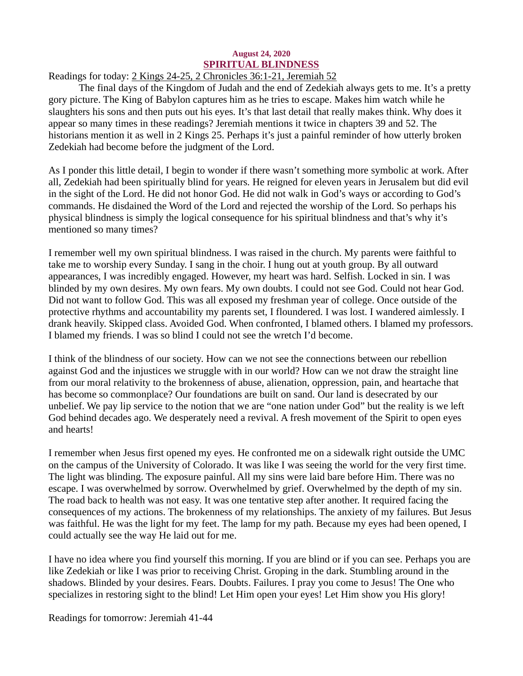# August 24, 2020 SPIRITUAL BLINDNESS

# <span id="page-35-0"></span>[Readings for today: 2 Kings 24-25, 2 Chronicles 36:1-21, Jeremiah 52](https://www.biblegateway.com/passage/?search=2+Kings+24-25%2C+2+Chronicles+36%3A1-21%2C+Jeremiah+52&version=ESV)

The final days of the Kingdom of Judah and the end of Zedekiah always gets to me. It's a pretty gory picture. The King of Babylon captures him as he tries to escape. Makes him watch while he slaughters his sons and then puts out his eyes. It's that last detail that really makes think. Why does it appear so many times in these readings? Jeremiah mentions it twice in chapters 39 and 52. The historians mention it as well in 2 Kings 25. Perhaps it's just a painful reminder of how utterly broken Zedekiah had become before the judgment of the Lord.

As I ponder this little detail, I begin to wonder if there wasn't something more symbolic at work. After all, Zedekiah had been spiritually blind for years. He reigned for eleven years in Jerusalem but did evil in the sight of the Lord. He did not honor God. He did not walk in God's ways or according to God's commands. He disdained the Word of the Lord and rejected the worship of the Lord. So perhaps his physical blindness is simply the logical consequence for his spiritual blindness and that's why it's mentioned so many times?

I remember well my own spiritual blindness. I was raised in the church. My parents were faithful to take me to worship every Sunday. I sang in the choir. I hung out at youth group. By all outward appearances, I was incredibly engaged. However, my heart was hard. Selfish. Locked in sin. I was blinded by my own desires. My own fears. My own doubts. I could not see God. Could not hear God. Did not want to follow God. This was all exposed my freshman year of college. Once outside of the protective rhythms and accountability my parents set, I floundered. I was lost. I wandered aimlessly. I drank heavily. Skipped class. Avoided God. When confronted, I blamed others. I blamed my professors. I blamed my friends. I was so blind I could not see the wretch I'd become.

I think of the blindness of our society. How can we not see the connections between our rebellion against God and the injustices we struggle with in our world? How can we not draw the straight line from our moral relativity to the brokenness of abuse, alienation, oppression, pain, and heartache that has become so commonplace? Our foundations are built on sand. Our land is desecrated by our unbelief. We pay lip service to the notion that we are "one nation under God" but the reality is we left God behind decades ago. We desperately need a revival. A fresh movement of the Spirit to open eyes and hearts!

I remember when Jesus first opened my eyes. He confronted me on a sidewalk right outside the UMC on the campus of the University of Colorado. It was like I was seeing the world for the very first time. The light was blinding. The exposure painful. All my sins were laid bare before Him. There was no escape. I was overwhelmed by sorrow. Overwhelmed by grief. Overwhelmed by the depth of my sin. The road back to health was not easy. It was one tentative step after another. It required facing the consequences of my actions. The brokenness of my relationships. The anxiety of my failures. But Jesus was faithful. He was the light for my feet. The lamp for my path. Because my eyes had been opened, I could actually see the way He laid out for me.

I have no idea where you find yourself this morning. If you are blind or if you can see. Perhaps you are like Zedekiah or like I was prior to receiving Christ. Groping in the dark. Stumbling around in the shadows. Blinded by your desires. Fears. Doubts. Failures. I pray you come to Jesus! The One who specializes in restoring sight to the blind! Let Him open your eyes! Let Him show you His glory!

Readings for tomorrow: Jeremiah 41-44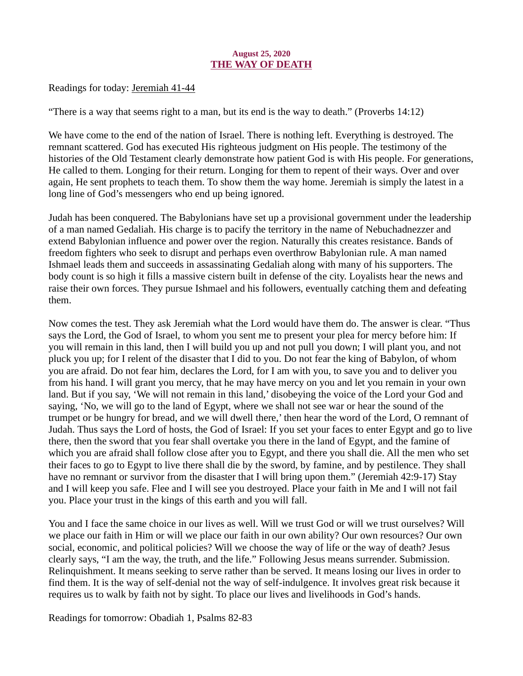# August 25, 2020 THE WAY OF DEATH

<span id="page-36-0"></span>[Readings for today: Jeremiah 41-44](https://www.biblegateway.com/passage/?search=Jeremiah+41-44&version=ESV)

"There is a way that seems right to a man, but its end is the way to death." (Proverbs 14:12)

We have come to the end of the nation of Israel. There is nothing left. Everything is destroyed. The remnant scattered. God has executed His righteous judgment on His people. The testimony of the histories of the Old Testament clearly demonstrate how patient God is with His people. For generations, He called to them. Longing for their return. Longing for them to repent of their ways. Over and over again, He sent prophets to teach them. To show them the way home. Jeremiah is simply the latest in a long line of God's messengers who end up being ignored.

Judah has been conquered. The Babylonians have set up a provisional government under the leadership of a man named Gedaliah. His charge is to pacify the territory in the name of Nebuchadnezzer and extend Babylonian influence and power over the region. Naturally this creates resistance. Bands of freedom fighters who seek to disrupt and perhaps even overthrow Babylonian rule. A man named Ishmael leads them and succeeds in assassinating Gedaliah along with many of his supporters. The body count is so high it fills a massive cistern built in defense of the city. Loyalists hear the news and raise their own forces. They pursue Ishmael and his followers, eventually catching them and defeating them.

Now comes the test. They ask Jeremiah what the Lord would have them do. The answer is clear. "Thus says the Lord, the God of Israel, to whom you sent me to present your plea for mercy before him: If you will remain in this land, then I will build you up and not pull you down; I will plant you, and not pluck you up; for I relent of the disaster that I did to you. Do not fear the king of Babylon, of whom you are afraid. Do not fear him, declares the Lord, for I am with you, to save you and to deliver you from his hand. I will grant you mercy, that he may have mercy on you and let you remain in your own land. But if you say, 'We will not remain in this land,' disobeying the voice of the Lord your God and saying, 'No, we will go to the land of Egypt, where we shall not see war or hear the sound of the trumpet or be hungry for bread, and we will dwell there,' then hear the word of the Lord, O remnant of Judah. Thus says the Lord of hosts, the God of Israel: If you set your faces to enter Egypt and go to live there, then the sword that you fear shall overtake you there in the land of Egypt, and the famine of which you are afraid shall follow close after you to Egypt, and there you shall die. All the men who set their faces to go to Egypt to live there shall die by the sword, by famine, and by pestilence. They shall have no remnant or survivor from the disaster that I will bring upon them." (Jeremiah 42:9-17) Stay and I will keep you safe. Flee and I will see you destroyed. Place your faith in Me and I will not fail you. Place your trust in the kings of this earth and you will fall.

You and I face the same choice in our lives as well. Will we trust God or will we trust ourselves? Will we place our faith in Him or will we place our faith in our own ability? Our own resources? Our own social, economic, and political policies? Will we choose the way of life or the way of death? Jesus clearly says, "I am the way, the truth, and the life." Following Jesus means surrender. Submission. Relinquishment. It means seeking to serve rather than be served. It means losing our lives in order to find them. It is the way of self-denial not the way of self-indulgence. It involves great risk because it requires us to walk by faith not by sight. To place our lives and livelihoods in God's hands.

Readings for tomorrow: Obadiah 1, Psalms 82-83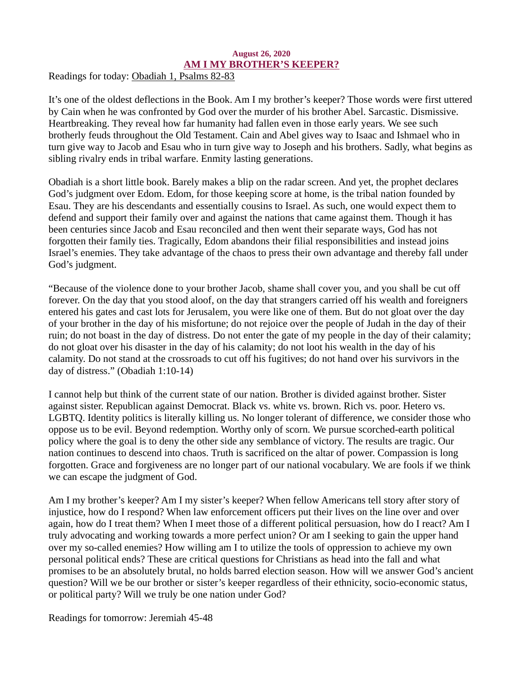#### August 26, 2020 AM I MY BROTHER'S KEEPER?

<span id="page-37-0"></span>[Readings for today: Obadiah 1, Psalms 82-83](https://www.biblegateway.com/passage/?search=Obadiah+1%2C+Psalms+82-83&version=ESV)

It's one of the oldest deflections in the Book. Am I my brother's keeper? Those words were first uttered by Cain when he was confronted by God over the murder of his brother Abel. Sarcastic. Dismissive. Heartbreaking. They reveal how far humanity had fallen even in those early years. We see such brotherly feuds throughout the Old Testament. Cain and Abel gives way to Isaac and Ishmael who in turn give way to Jacob and Esau who in turn give way to Joseph and his brothers. Sadly, what begins as sibling rivalry ends in tribal warfare. Enmity lasting generations.

Obadiah is a short little book. Barely makes a blip on the radar screen. And yet, the prophet declares God's judgment over Edom. Edom, for those keeping score at home, is the tribal nation founded by Esau. They are his descendants and essentially cousins to Israel. As such, one would expect them to defend and support their family over and against the nations that came against them. Though it has been centuries since Jacob and Esau reconciled and then went their separate ways, God has not forgotten their family ties. Tragically, Edom abandons their filial responsibilities and instead joins Israel's enemies. They take advantage of the chaos to press their own advantage and thereby fall under God's judgment.

"Because of the violence done to your brother Jacob, shame shall cover you, and you shall be cut off forever. On the day that you stood aloof, on the day that strangers carried off his wealth and foreigners entered his gates and cast lots for Jerusalem, you were like one of them. But do not gloat over the day of your brother in the day of his misfortune; do not rejoice over the people of Judah in the day of their ruin; do not boast in the day of distress. Do not enter the gate of my people in the day of their calamity; do not gloat over his disaster in the day of his calamity; do not loot his wealth in the day of his calamity. Do not stand at the crossroads to cut off his fugitives; do not hand over his survivors in the day of distress." (Obadiah 1:10-14)

I cannot help but think of the current state of our nation. Brother is divided against brother. Sister against sister. Republican against Democrat. Black vs. white vs. brown. Rich vs. poor. Hetero vs. LGBTQ. Identity politics is literally killing us. No longer tolerant of difference, we consider those who oppose us to be evil. Beyond redemption. Worthy only of scorn. We pursue scorched-earth political policy where the goal is to deny the other side any semblance of victory. The results are tragic. Our nation continues to descend into chaos. Truth is sacrificed on the altar of power. Compassion is long forgotten. Grace and forgiveness are no longer part of our national vocabulary. We are fools if we think we can escape the judgment of God.

Am I my brother's keeper? Am I my sister's keeper? When fellow Americans tell story after story of injustice, how do I respond? When law enforcement officers put their lives on the line over and over again, how do I treat them? When I meet those of a different political persuasion, how do I react? Am I truly advocating and working towards a more perfect union? Or am I seeking to gain the upper hand over my so-called enemies? How willing am I to utilize the tools of oppression to achieve my own personal political ends? These are critical questions for Christians as head into the fall and what promises to be an absolutely brutal, no holds barred election season. How will we answer God's ancient question? Will we be our brother or sister's keeper regardless of their ethnicity, socio-economic status, or political party? Will we truly be one nation under God?

Readings for tomorrow: Jeremiah 45-48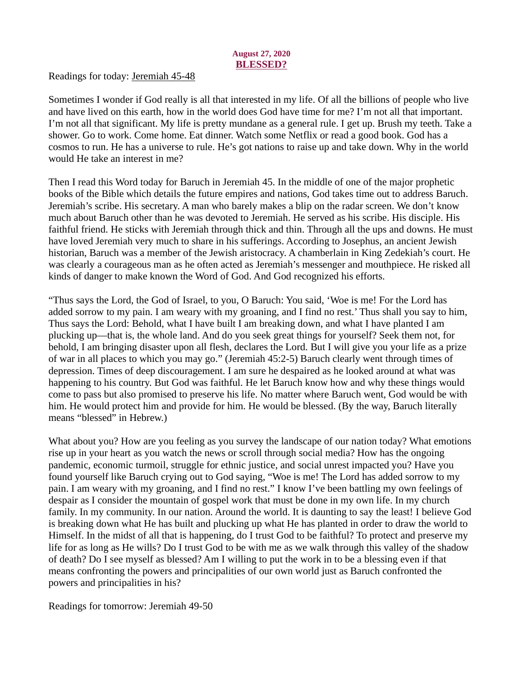# August 27, 2020 BLESSED?

<span id="page-38-0"></span>[Readings for today: Jeremiah 45-48](https://www.biblegateway.com/passage/?search=Jeremiah+45-48&version=ESV)

Sometimes I wonder if God really is all that interested in my life. Of all the billions of people who live and have lived on this earth, how in the world does God have time for me? I'm not all that important. I'm not all that significant. My life is pretty mundane as a general rule. I get up. Brush my teeth. Take a shower. Go to work. Come home. Eat dinner. Watch some Netflix or read a good book. God has a cosmos to run. He has a universe to rule. He's got nations to raise up and take down. Why in the world would He take an interest in me?

Then I read this Word today for Baruch in Jeremiah 45. In the middle of one of the major prophetic books of the Bible which details the future empires and nations, God takes time out to address Baruch. Jeremiah's scribe. His secretary. A man who barely makes a blip on the radar screen. We don't know much about Baruch other than he was devoted to Jeremiah. He served as his scribe. His disciple. His faithful friend. He sticks with Jeremiah through thick and thin. Through all the ups and downs. He must have loved Jeremiah very much to share in his sufferings. According to Josephus, an ancient Jewish historian, Baruch was a member of the Jewish aristocracy. A chamberlain in King Zedekiah's court. He was clearly a courageous man as he often acted as Jeremiah's messenger and mouthpiece. He risked all kinds of danger to make known the Word of God. And God recognized his efforts.

"Thus says the Lord, the God of Israel, to you, O Baruch: You said, 'Woe is me! For the Lord has added sorrow to my pain. I am weary with my groaning, and I find no rest.' Thus shall you say to him, Thus says the Lord: Behold, what I have built I am breaking down, and what I have planted I am plucking up—that is, the whole land. And do you seek great things for yourself? Seek them not, for behold, I am bringing disaster upon all flesh, declares the Lord. But I will give you your life as a prize of war in all places to which you may go." (Jeremiah 45:2-5) Baruch clearly went through times of depression. Times of deep discouragement. I am sure he despaired as he looked around at what was happening to his country. But God was faithful. He let Baruch know how and why these things would come to pass but also promised to preserve his life. No matter where Baruch went, God would be with him. He would protect him and provide for him. He would be blessed. (By the way, Baruch literally means "blessed" in Hebrew.)

What about you? How are you feeling as you survey the landscape of our nation today? What emotions rise up in your heart as you watch the news or scroll through social media? How has the ongoing pandemic, economic turmoil, struggle for ethnic justice, and social unrest impacted you? Have you found yourself like Baruch crying out to God saying, "Woe is me! The Lord has added sorrow to my pain. I am weary with my groaning, and I find no rest." I know I've been battling my own feelings of despair as I consider the mountain of gospel work that must be done in my own life. In my church family. In my community. In our nation. Around the world. It is daunting to say the least! I believe God is breaking down what He has built and plucking up what He has planted in order to draw the world to Himself. In the midst of all that is happening, do I trust God to be faithful? To protect and preserve my life for as long as He wills? Do I trust God to be with me as we walk through this valley of the shadow of death? Do I see myself as blessed? Am I willing to put the work in to be a blessing even if that means confronting the powers and principalities of our own world just as Baruch confronted the powers and principalities in his?

Readings for tomorrow: Jeremiah 49-50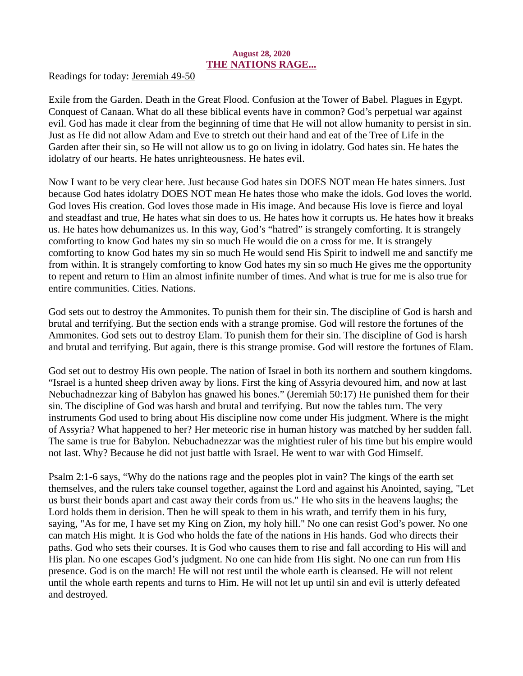# August 28, 2020 THE NATIONS RAGE...

<span id="page-39-0"></span>[Readings for today: Jeremiah 49-50](https://www.biblegateway.com/passage/?search=Jeremiah+49-50&version=ESV)

Exile from the Garden. Death in the Great Flood. Confusion at the Tower of Babel. Plagues in Egypt. Conquest of Canaan. What do all these biblical events have in common? God's perpetual war against evil. God has made it clear from the beginning of time that He will not allow humanity to persist in sin. Just as He did not allow Adam and Eve to stretch out their hand and eat of the Tree of Life in the Garden after their sin, so He will not allow us to go on living in idolatry. God hates sin. He hates the idolatry of our hearts. He hates unrighteousness. He hates evil.

Now I want to be very clear here. Just because God hates sin DOES NOT mean He hates sinners. Just because God hates idolatry DOES NOT mean He hates those who make the idols. God loves the world. God loves His creation. God loves those made in His image. And because His love is fierce and loyal and steadfast and true, He hates what sin does to us. He hates how it corrupts us. He hates how it breaks us. He hates how dehumanizes us. In this way, God's "hatred" is strangely comforting. It is strangely comforting to know God hates my sin so much He would die on a cross for me. It is strangely comforting to know God hates my sin so much He would send His Spirit to indwell me and sanctify me from within. It is strangely comforting to know God hates my sin so much He gives me the opportunity to repent and return to Him an almost infinite number of times. And what is true for me is also true for entire communities. Cities. Nations.

God sets out to destroy the Ammonites. To punish them for their sin. The discipline of God is harsh and brutal and terrifying. But the section ends with a strange promise. God will restore the fortunes of the Ammonites. God sets out to destroy Elam. To punish them for their sin. The discipline of God is harsh and brutal and terrifying. But again, there is this strange promise. God will restore the fortunes of Elam.

God set out to destroy His own people. The nation of Israel in both its northern and southern kingdoms. "Israel is a hunted sheep driven away by lions. First the king of Assyria devoured him, and now at last Nebuchadnezzar king of Babylon has gnawed his bones." (Jeremiah 50:17) He punished them for their sin. The discipline of God was harsh and brutal and terrifying. But now the tables turn. The very instruments God used to bring about His discipline now come under His judgment. Where is the might of Assyria? What happened to her? Her meteoric rise in human history was matched by her sudden fall. The same is true for Babylon. Nebuchadnezzar was the mightiest ruler of his time but his empire would not last. Why? Because he did not just battle with Israel. He went to war with God Himself.

Psalm 2:1-6 says, "Why do the nations rage and the peoples plot in vain? The kings of the earth set themselves, and the rulers take counsel together, against the Lord and against his Anointed, saying, "Let us burst their bonds apart and cast away their cords from us." He who sits in the heavens laughs; the Lord holds them in derision. Then he will speak to them in his wrath, and terrify them in his fury, saying, "As for me, I have set my King on Zion, my holy hill." No one can resist God's power. No one can match His might. It is God who holds the fate of the nations in His hands. God who directs their paths. God who sets their courses. It is God who causes them to rise and fall according to His will and His plan. No one escapes God's judgment. No one can hide from His sight. No one can run from His presence. God is on the march! He will not rest until the whole earth is cleansed. He will not relent until the whole earth repents and turns to Him. He will not let up until sin and evil is utterly defeated and destroyed.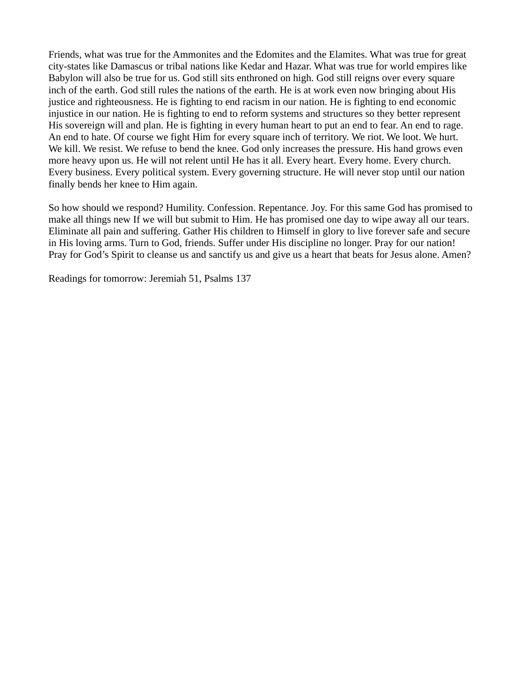Friends, what was true for the Ammonites and the Edomites and the Elamites. What was true for great city-states like Damascus or tribal nations like Kedar and Hazar. What was true for world empires like Babylon will also be true for us. God still sits enthroned on high. God still reigns over every square inch of the earth. God still rules the nations of the earth. He is at work even now bringing about His justice and righteousness. He is fighting to end racism in our nation. He is fighting to end economic injustice in our nation. He is fighting to end to reform systems and structures so they better represent His sovereign will and plan. He is fighting in every human heart to put an end to fear. An end to rage. An end to hate. Of course we fight Him for every square inch of territory. We riot. We loot. We hurt. We kill. We resist. We refuse to bend the knee. God only increases the pressure. His hand grows even more heavy upon us. He will not relent until He has it all. Every heart. Every home. Every church. Every business. Every political system. Every governing structure. He will never stop until our nation finally bends her knee to Him again.

So how should we respond? Humility. Confession. Repentance. Joy. For this same God has promised to make all things new If we will but submit to Him. He has promised one day to wipe away all our tears. Eliminate all pain and suffering. Gather His children to Himself in glory to live forever safe and secure in His loving arms. Turn to God, friends. Suffer under His discipline no longer. Pray for our nation! Pray for God's Spirit to cleanse us and sanctify us and give us a heart that beats for Jesus alone. Amen?

Readings for tomorrow: Jeremiah 51, Psalms 137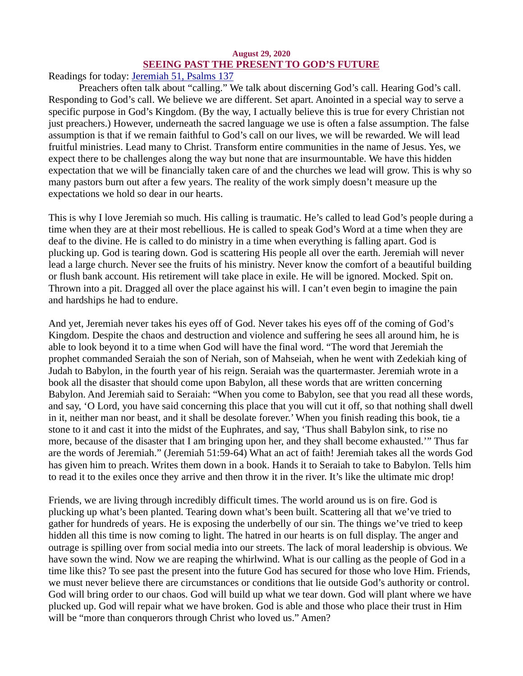## August 29, 2020 SEEING PAST THE PRESENT TO GOD'S FUTURE

<span id="page-41-0"></span>[Readings for today: Jeremiah 51, Psalms 137](https://www.biblegateway.com/passage/?search=Jeremiah+51%2C+Psalms+137&version=ESV)

Preachers often talk about "calling." We talk about discerning God's call. Hearing God's call. Responding to God's call. We believe we are different. Set apart. Anointed in a special way to serve a specific purpose in God's Kingdom. (By the way, I actually believe this is true for every Christian not just preachers.) However, underneath the sacred language we use is often a false assumption. The false assumption is that if we remain faithful to God's call on our lives, we will be rewarded. We will lead fruitful ministries. Lead many to Christ. Transform entire communities in the name of Jesus. Yes, we expect there to be challenges along the way but none that are insurmountable. We have this hidden expectation that we will be financially taken care of and the churches we lead will grow. This is why so many pastors burn out after a few years. The reality of the work simply doesn't measure up the expectations we hold so dear in our hearts.

This is why I love Jeremiah so much. His calling is traumatic. He's called to lead God's people during a time when they are at their most rebellious. He is called to speak God's Word at a time when they are deaf to the divine. He is called to do ministry in a time when everything is falling apart. God is plucking up. God is tearing down. God is scattering His people all over the earth. Jeremiah will never lead a large church. Never see the fruits of his ministry. Never know the comfort of a beautiful building or flush bank account. His retirement will take place in exile. He will be ignored. Mocked. Spit on. Thrown into a pit. Dragged all over the place against his will. I can't even begin to imagine the pain and hardships he had to endure.

And yet, Jeremiah never takes his eyes off of God. Never takes his eyes off of the coming of God's Kingdom. Despite the chaos and destruction and violence and suffering he sees all around him, he is able to look beyond it to a time when God will have the final word. "The word that Jeremiah the prophet commanded Seraiah the son of Neriah, son of Mahseiah, when he went with Zedekiah king of Judah to Babylon, in the fourth year of his reign. Seraiah was the quartermaster. Jeremiah wrote in a book all the disaster that should come upon Babylon, all these words that are written concerning Babylon. And Jeremiah said to Seraiah: "When you come to Babylon, see that you read all these words, and say, 'O Lord, you have said concerning this place that you will cut it off, so that nothing shall dwell in it, neither man nor beast, and it shall be desolate forever.' When you finish reading this book, tie a stone to it and cast it into the midst of the Euphrates, and say, 'Thus shall Babylon sink, to rise no more, because of the disaster that I am bringing upon her, and they shall become exhausted.'" Thus far are the words of Jeremiah." (Jeremiah 51:59-64) What an act of faith! Jeremiah takes all the words God has given him to preach. Writes them down in a book. Hands it to Seraiah to take to Babylon. Tells him to read it to the exiles once they arrive and then throw it in the river. It's like the ultimate mic drop!

Friends, we are living through incredibly difficult times. The world around us is on fire. God is plucking up what's been planted. Tearing down what's been built. Scattering all that we've tried to gather for hundreds of years. He is exposing the underbelly of our sin. The things we've tried to keep hidden all this time is now coming to light. The hatred in our hearts is on full display. The anger and outrage is spilling over from social media into our streets. The lack of moral leadership is obvious. We have sown the wind. Now we are reaping the whirlwind. What is our calling as the people of God in a time like this? To see past the present into the future God has secured for those who love Him. Friends, we must never believe there are circumstances or conditions that lie outside God's authority or control. God will bring order to our chaos. God will build up what we tear down. God will plant where we have plucked up. God will repair what we have broken. God is able and those who place their trust in Him will be "more than conquerors through Christ who loved us." Amen?